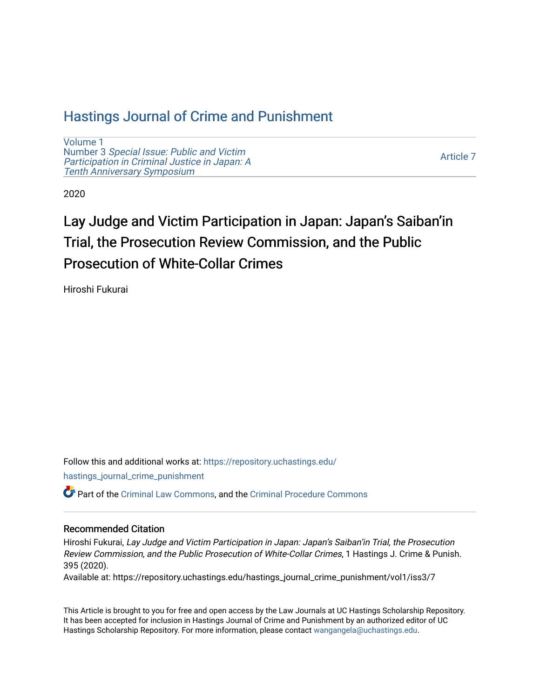# [Hastings Journal of Crime and Punishment](https://repository.uchastings.edu/hastings_journal_crime_punishment)

[Volume 1](https://repository.uchastings.edu/hastings_journal_crime_punishment/vol1) Number 3 [Special Issue: Public and Victim](https://repository.uchastings.edu/hastings_journal_crime_punishment/vol1/iss3) [Participation in Criminal Justice in Japan: A](https://repository.uchastings.edu/hastings_journal_crime_punishment/vol1/iss3) [Tenth Anniversary Symposium](https://repository.uchastings.edu/hastings_journal_crime_punishment/vol1/iss3)

[Article 7](https://repository.uchastings.edu/hastings_journal_crime_punishment/vol1/iss3/7) 

2020

# Lay Judge and Victim Participation in Japan: Japan's Saiban'in Trial, the Prosecution Review Commission, and the Public Prosecution of White-Collar Crimes

Hiroshi Fukurai

Follow this and additional works at: [https://repository.uchastings.edu/](https://repository.uchastings.edu/hastings_journal_crime_punishment?utm_source=repository.uchastings.edu%2Fhastings_journal_crime_punishment%2Fvol1%2Fiss3%2F7&utm_medium=PDF&utm_campaign=PDFCoverPages) [hastings\\_journal\\_crime\\_punishment](https://repository.uchastings.edu/hastings_journal_crime_punishment?utm_source=repository.uchastings.edu%2Fhastings_journal_crime_punishment%2Fvol1%2Fiss3%2F7&utm_medium=PDF&utm_campaign=PDFCoverPages) 

Part of the [Criminal Law Commons,](http://network.bepress.com/hgg/discipline/912?utm_source=repository.uchastings.edu%2Fhastings_journal_crime_punishment%2Fvol1%2Fiss3%2F7&utm_medium=PDF&utm_campaign=PDFCoverPages) and the [Criminal Procedure Commons](http://network.bepress.com/hgg/discipline/1073?utm_source=repository.uchastings.edu%2Fhastings_journal_crime_punishment%2Fvol1%2Fiss3%2F7&utm_medium=PDF&utm_campaign=PDFCoverPages)

# Recommended Citation

Hiroshi Fukurai, Lay Judge and Victim Participation in Japan: Japan's Saiban'in Trial, the Prosecution Review Commission, and the Public Prosecution of White-Collar Crimes, 1 Hastings J. Crime & Punish. 395 (2020).

Available at: https://repository.uchastings.edu/hastings\_journal\_crime\_punishment/vol1/iss3/7

This Article is brought to you for free and open access by the Law Journals at UC Hastings Scholarship Repository. It has been accepted for inclusion in Hastings Journal of Crime and Punishment by an authorized editor of UC Hastings Scholarship Repository. For more information, please contact [wangangela@uchastings.edu.](mailto:wangangela@uchastings.edu)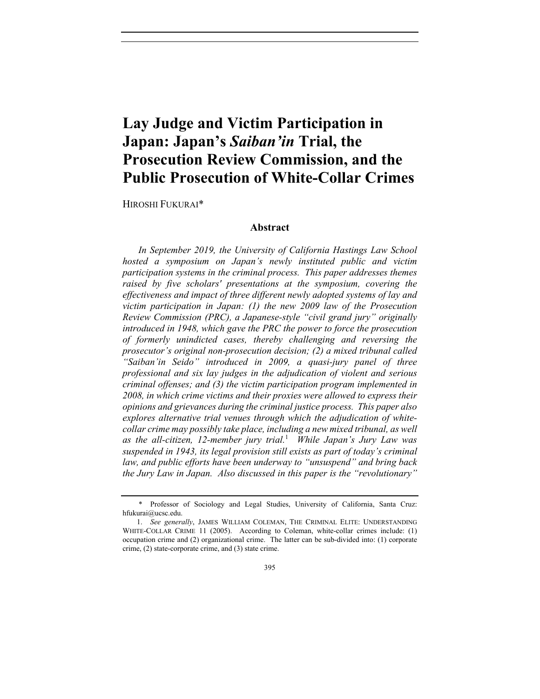# **Lay Judge and Victim Participation in Japan: Japan's** *Saiban'in* **Trial, the Prosecution Review Commission, and the Public Prosecution of White-Collar Crimes**

HIROSHI FUKURAI\*

## **Abstract**

*In September 2019, the University of California Hastings Law School hosted a symposium on Japan's newly instituted public and victim participation systems in the criminal process. This paper addresses themes raised by five scholars' presentations at the symposium, covering the effectiveness and impact of three different newly adopted systems of lay and victim participation in Japan: (1) the new 2009 law of the Prosecution Review Commission (PRC), a Japanese-style "civil grand jury" originally introduced in 1948, which gave the PRC the power to force the prosecution of formerly unindicted cases, thereby challenging and reversing the prosecutor's original non-prosecution decision; (2) a mixed tribunal called "Saiban'in Seido" introduced in 2009, a quasi-jury panel of three professional and six lay judges in the adjudication of violent and serious criminal offenses; and (3) the victim participation program implemented in 2008, in which crime victims and their proxies were allowed to express their opinions and grievances during the criminal justice process. This paper also explores alternative trial venues through which the adjudication of whitecollar crime may possibly take place, including a new mixed tribunal, as well as the all-citizen, 12-member jury trial.*<sup>1</sup>  *While Japan's Jury Law was suspended in 1943, its legal provision still exists as part of today's criminal law, and public efforts have been underway to "unsuspend" and bring back the Jury Law in Japan. Also discussed in this paper is the "revolutionary"* 

 <sup>\*</sup> Professor of Sociology and Legal Studies, University of California, Santa Cruz: hfukurai@ucsc.edu.

 <sup>1.</sup> *See generally*, JAMES WILLIAM COLEMAN, THE CRIMINAL ELITE: UNDERSTANDING WHITE-COLLAR CRIME 11 (2005). According to Coleman, white-collar crimes include: (1) occupation crime and (2) organizational crime. The latter can be sub-divided into: (1) corporate crime, (2) state-corporate crime, and (3) state crime.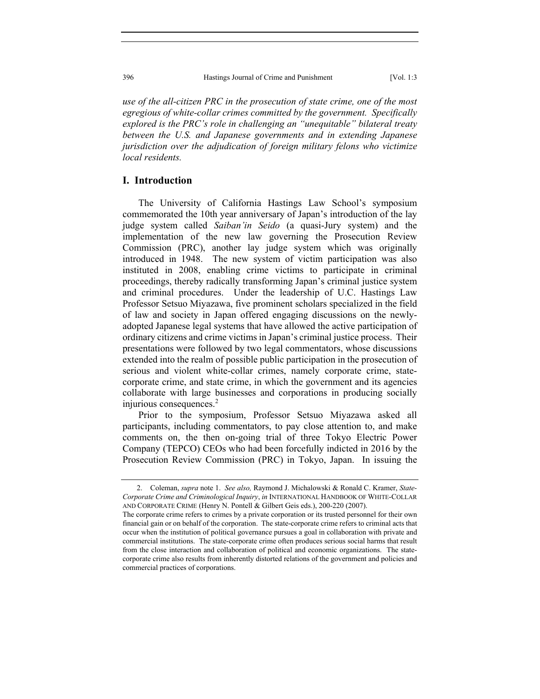396 Hastings Journal of Crime and Punishment [Vol. 1:3

*use of the all-citizen PRC in the prosecution of state crime, one of the most egregious of white-collar crimes committed by the government. Specifically explored is the PRC's role in challenging an "unequitable" bilateral treaty between the U.S. and Japanese governments and in extending Japanese jurisdiction over the adjudication of foreign military felons who victimize local residents.* 

## **I. Introduction**

The University of California Hastings Law School's symposium commemorated the 10th year anniversary of Japan's introduction of the lay judge system called *Saiban'in Seido* (a quasi-Jury system) and the implementation of the new law governing the Prosecution Review Commission (PRC), another lay judge system which was originally introduced in 1948. The new system of victim participation was also instituted in 2008, enabling crime victims to participate in criminal proceedings, thereby radically transforming Japan's criminal justice system and criminal procedures. Under the leadership of U.C. Hastings Law Professor Setsuo Miyazawa, five prominent scholars specialized in the field of law and society in Japan offered engaging discussions on the newlyadopted Japanese legal systems that have allowed the active participation of ordinary citizens and crime victims in Japan's criminal justice process. Their presentations were followed by two legal commentators, whose discussions extended into the realm of possible public participation in the prosecution of serious and violent white-collar crimes, namely corporate crime, statecorporate crime, and state crime, in which the government and its agencies collaborate with large businesses and corporations in producing socially injurious consequences.<sup>2</sup>

Prior to the symposium, Professor Setsuo Miyazawa asked all participants, including commentators, to pay close attention to, and make comments on, the then on-going trial of three Tokyo Electric Power Company (TEPCO) CEOs who had been forcefully indicted in 2016 by the Prosecution Review Commission (PRC) in Tokyo, Japan. In issuing the

 <sup>2.</sup> Coleman, *supra* note 1. *See also,* Raymond J. Michalowski & Ronald C. Kramer, *State-Corporate Crime and Criminological Inquiry*, *in* INTERNATIONAL HANDBOOK OF WHITE-COLLAR AND CORPORATE CRIME (Henry N. Pontell & Gilbert Geis eds.), 200-220 (2007).

The corporate crime refers to crimes by a private corporation or its trusted personnel for their own financial gain or on behalf of the corporation. The state-corporate crime refers to criminal acts that occur when the institution of political governance pursues a goal in collaboration with private and commercial institutions. The state-corporate crime often produces serious social harms that result from the close interaction and collaboration of political and economic organizations. The statecorporate crime also results from inherently distorted relations of the government and policies and commercial practices of corporations.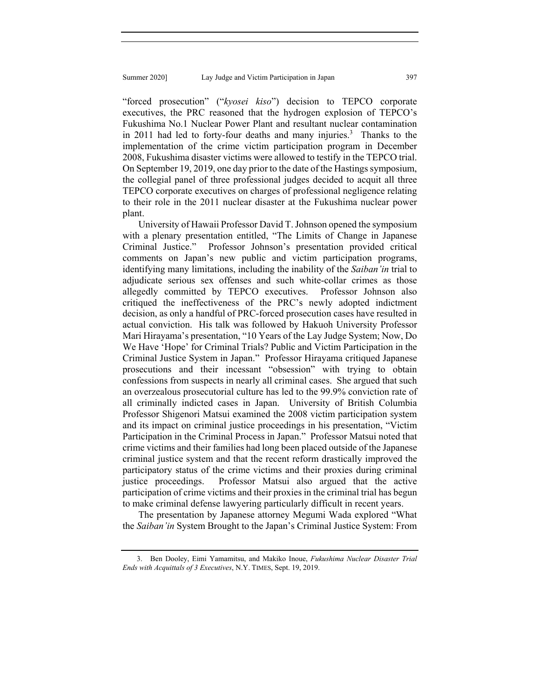"forced prosecution" ("*kyosei kiso*") decision to TEPCO corporate executives, the PRC reasoned that the hydrogen explosion of TEPCO's Fukushima No.1 Nuclear Power Plant and resultant nuclear contamination in 2011 had led to forty-four deaths and many injuries.<sup>3</sup> Thanks to the implementation of the crime victim participation program in December 2008, Fukushima disaster victims were allowed to testify in the TEPCO trial. On September 19, 2019, one day prior to the date of the Hastings symposium, the collegial panel of three professional judges decided to acquit all three TEPCO corporate executives on charges of professional negligence relating to their role in the 2011 nuclear disaster at the Fukushima nuclear power plant.

University of Hawaii Professor David T. Johnson opened the symposium with a plenary presentation entitled, "The Limits of Change in Japanese Criminal Justice." Professor Johnson's presentation provided critical comments on Japan's new public and victim participation programs, identifying many limitations, including the inability of the *Saiban'in* trial to adjudicate serious sex offenses and such white-collar crimes as those allegedly committed by TEPCO executives. Professor Johnson also critiqued the ineffectiveness of the PRC's newly adopted indictment decision, as only a handful of PRC-forced prosecution cases have resulted in actual conviction. His talk was followed by Hakuoh University Professor Mari Hirayama's presentation, "10 Years of the Lay Judge System; Now, Do We Have 'Hope' for Criminal Trials? Public and Victim Participation in the Criminal Justice System in Japan." Professor Hirayama critiqued Japanese prosecutions and their incessant "obsession" with trying to obtain confessions from suspects in nearly all criminal cases. She argued that such an overzealous prosecutorial culture has led to the 99.9% conviction rate of all criminally indicted cases in Japan. University of British Columbia Professor Shigenori Matsui examined the 2008 victim participation system and its impact on criminal justice proceedings in his presentation, "Victim Participation in the Criminal Process in Japan." Professor Matsui noted that crime victims and their families had long been placed outside of the Japanese criminal justice system and that the recent reform drastically improved the participatory status of the crime victims and their proxies during criminal justice proceedings. Professor Matsui also argued that the active participation of crime victims and their proxies in the criminal trial has begun to make criminal defense lawyering particularly difficult in recent years.

The presentation by Japanese attorney Megumi Wada explored "What the *Saiban'in* System Brought to the Japan's Criminal Justice System: From

 <sup>3.</sup> Ben Dooley, Eimi Yamamitsu, and Makiko Inoue, *Fukushima Nuclear Disaster Trial Ends with Acquittals of 3 Executives*, N.Y. TIMES, Sept. 19, 2019.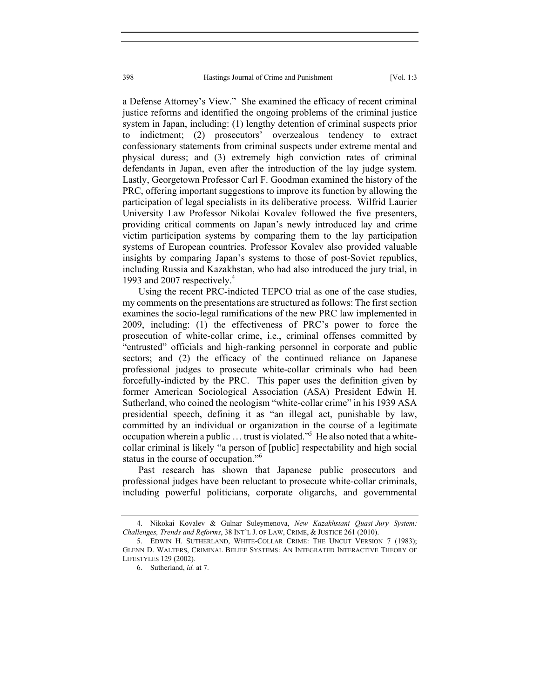a Defense Attorney's View." She examined the efficacy of recent criminal justice reforms and identified the ongoing problems of the criminal justice system in Japan, including: (1) lengthy detention of criminal suspects prior to indictment; (2) prosecutors' overzealous tendency to extract confessionary statements from criminal suspects under extreme mental and physical duress; and (3) extremely high conviction rates of criminal defendants in Japan, even after the introduction of the lay judge system. Lastly, Georgetown Professor Carl F. Goodman examined the history of the PRC, offering important suggestions to improve its function by allowing the participation of legal specialists in its deliberative process. Wilfrid Laurier University Law Professor Nikolai Kovalev followed the five presenters, providing critical comments on Japan's newly introduced lay and crime victim participation systems by comparing them to the lay participation systems of European countries. Professor Kovalev also provided valuable insights by comparing Japan's systems to those of post-Soviet republics, including Russia and Kazakhstan, who had also introduced the jury trial, in 1993 and 2007 respectively.<sup>4</sup>

Using the recent PRC-indicted TEPCO trial as one of the case studies, my comments on the presentations are structured as follows: The first section examines the socio-legal ramifications of the new PRC law implemented in 2009, including: (1) the effectiveness of PRC's power to force the prosecution of white-collar crime, i.e., criminal offenses committed by "entrusted" officials and high-ranking personnel in corporate and public sectors; and (2) the efficacy of the continued reliance on Japanese professional judges to prosecute white-collar criminals who had been forcefully-indicted by the PRC. This paper uses the definition given by former American Sociological Association (ASA) President Edwin H. Sutherland, who coined the neologism "white-collar crime" in his 1939 ASA presidential speech, defining it as "an illegal act, punishable by law, committed by an individual or organization in the course of a legitimate occupation wherein a public ... trust is violated."<sup>5</sup> He also noted that a whitecollar criminal is likely "a person of [public] respectability and high social status in the course of occupation."6

Past research has shown that Japanese public prosecutors and professional judges have been reluctant to prosecute white-collar criminals, including powerful politicians, corporate oligarchs, and governmental

 <sup>4.</sup> Nikokai Kovalev & Gulnar Suleymenova, *New Kazakhstani Quasi-Jury System: Challenges, Trends and Reforms*, 38 INT'L J. OF LAW, CRIME, & JUSTICE 261 (2010).

 <sup>5.</sup> EDWIN H. SUTHERLAND, WHITE-COLLAR CRIME: THE UNCUT VERSION 7 (1983); GLENN D. WALTERS, CRIMINAL BELIEF SYSTEMS: AN INTEGRATED INTERACTIVE THEORY OF LIFESTYLES 129 (2002).

 <sup>6.</sup> Sutherland, *id.* at 7.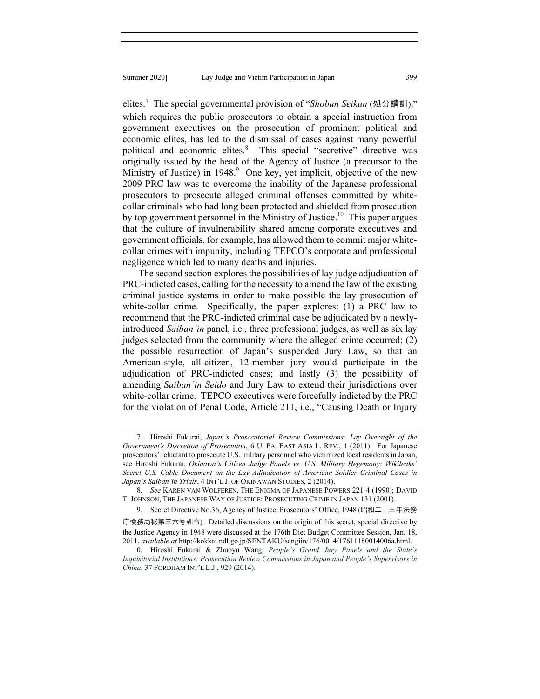elites.<sup>7</sup> The special governmental provision of "*Shobun Seikun* (処分請訓)," which requires the public prosecutors to obtain a special instruction from government executives on the prosecution of prominent political and economic elites, has led to the dismissal of cases against many powerful political and economic elites.<sup>8</sup> This special "secretive" directive was originally issued by the head of the Agency of Justice (a precursor to the Ministry of Justice) in 1948.<sup>9</sup> One key, yet implicit, objective of the new 2009 PRC law was to overcome the inability of the Japanese professional prosecutors to prosecute alleged criminal offenses committed by whitecollar criminals who had long been protected and shielded from prosecution by top government personnel in the Ministry of Justice.<sup>10</sup> This paper argues that the culture of invulnerability shared among corporate executives and government officials, for example, has allowed them to commit major whitecollar crimes with impunity, including TEPCO's corporate and professional negligence which led to many deaths and injuries.

The second section explores the possibilities of lay judge adjudication of PRC-indicted cases, calling for the necessity to amend the law of the existing criminal justice systems in order to make possible the lay prosecution of white-collar crime. Specifically, the paper explores: (1) a PRC law to recommend that the PRC-indicted criminal case be adjudicated by a newlyintroduced *Saiban'in* panel, i.e., three professional judges, as well as six lay judges selected from the community where the alleged crime occurred; (2) the possible resurrection of Japan's suspended Jury Law, so that an American-style, all-citizen, 12-member jury would participate in the adjudication of PRC-indicted cases; and lastly (3) the possibility of amending *Saiban'in Seido* and Jury Law to extend their jurisdictions over white-collar crime. TEPCO executives were forcefully indicted by the PRC for the violation of Penal Code, Article 211, i.e., "Causing Death or Injury

 <sup>7.</sup> Hiroshi Fukurai, *Japan's Prosecutorial Review Commissions: Lay Oversight of the Government's Discretion of Prosecution*, 6 U. PA. EAST ASIA L. REV., 1 (2011). For Japanese prosecutors' reluctant to prosecute U.S. military personnel who victimized local residents in Japan, see Hiroshi Fukurai, *Okinawa's Citizen Judge Panels vs. U.S. Military Hegemony: Wikileaks' Secret U.S. Cable Document on the Lay Adjudication of American Soldier Criminal Cases in Japan's Saiban'in Trials*, 4 INT'L J. OF OKINAWAN STUDIES, 2 (2014).

 <sup>8.</sup> *See* KAREN VAN WOLFEREN, THE ENIGMA OF JAPANESE POWERS 221-4 (1990); DAVID T. JOHNSON, THE JAPANESE WAY OF JUSTICE: PROSECUTING CRIME IN JAPAN 131 (2001).

<sup>9.</sup> Secret Directive No.36, Agency of Justice, Prosecutors' Office, 1948 (昭和二十三年法務

庁検務局秘第三六号訓令). Detailed discussions on the origin of this secret, special directive by the Justice Agency in 1948 were discussed at the 176th Diet Budget Committee Session, Jan. 18, 2011, *available at* http://kokkai.ndl.go.jp/SENTAKU/sangiin/176/0014/17611180014006a.html.

 <sup>10.</sup> Hiroshi Fukurai & Zhuoyu Wang, *People's Grand Jury Panels and the State's Inquisitorial Institutions: Prosecution Review Commissions in Japan and People's Supervisors in China*, 37 FORDHAM INT'L L.J., 929 (2014).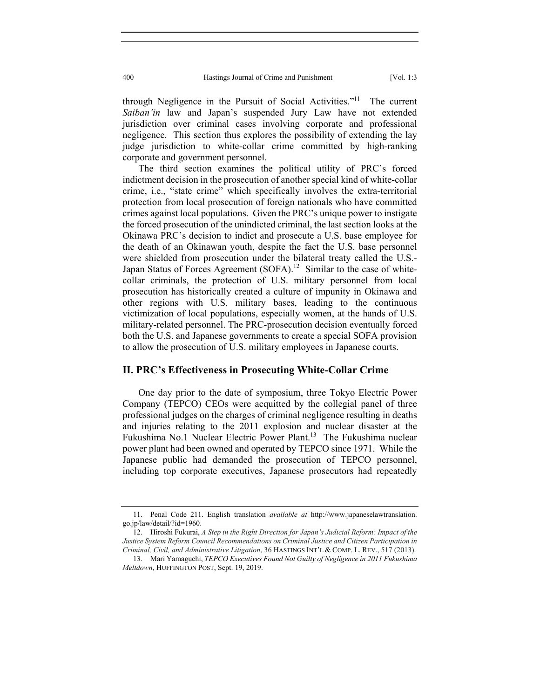through Negligence in the Pursuit of Social Activities."<sup>11</sup> The current *Saiban'in* law and Japan's suspended Jury Law have not extended jurisdiction over criminal cases involving corporate and professional negligence. This section thus explores the possibility of extending the lay judge jurisdiction to white-collar crime committed by high-ranking corporate and government personnel.

The third section examines the political utility of PRC's forced indictment decision in the prosecution of another special kind of white-collar crime, i.e., "state crime" which specifically involves the extra-territorial protection from local prosecution of foreign nationals who have committed crimes against local populations. Given the PRC's unique power to instigate the forced prosecution of the unindicted criminal, the last section looks at the Okinawa PRC's decision to indict and prosecute a U.S. base employee for the death of an Okinawan youth, despite the fact the U.S. base personnel were shielded from prosecution under the bilateral treaty called the U.S.- Japan Status of Forces Agreement (SOFA).<sup>12</sup> Similar to the case of whitecollar criminals, the protection of U.S. military personnel from local prosecution has historically created a culture of impunity in Okinawa and other regions with U.S. military bases, leading to the continuous victimization of local populations, especially women, at the hands of U.S. military-related personnel. The PRC-prosecution decision eventually forced both the U.S. and Japanese governments to create a special SOFA provision to allow the prosecution of U.S. military employees in Japanese courts.

## **II. PRC's Effectiveness in Prosecuting White-Collar Crime**

One day prior to the date of symposium, three Tokyo Electric Power Company (TEPCO) CEOs were acquitted by the collegial panel of three professional judges on the charges of criminal negligence resulting in deaths and injuries relating to the 2011 explosion and nuclear disaster at the Fukushima No.1 Nuclear Electric Power Plant.<sup>13</sup> The Fukushima nuclear power plant had been owned and operated by TEPCO since 1971. While the Japanese public had demanded the prosecution of TEPCO personnel, including top corporate executives, Japanese prosecutors had repeatedly

 <sup>11.</sup> Penal Code 211. English translation *available at* http://www.japaneselawtranslation. go.jp/law/detail/?id=1960.

 <sup>12.</sup> Hiroshi Fukurai, *A Step in the Right Direction for Japan's Judicial Reform: Impact of the Justice System Reform Council Recommendations on Criminal Justice and Citizen Participation in Criminal, Civil, and Administrative Litigation*, 36 HASTINGS INT'L & COMP. L. REV., 517 (2013).

 <sup>13.</sup> Mari Yamaguchi, *TEPCO Executives Found Not Guilty of Negligence in 2011 Fukushima Meltdown*, HUFFINGTON POST, Sept. 19, 2019.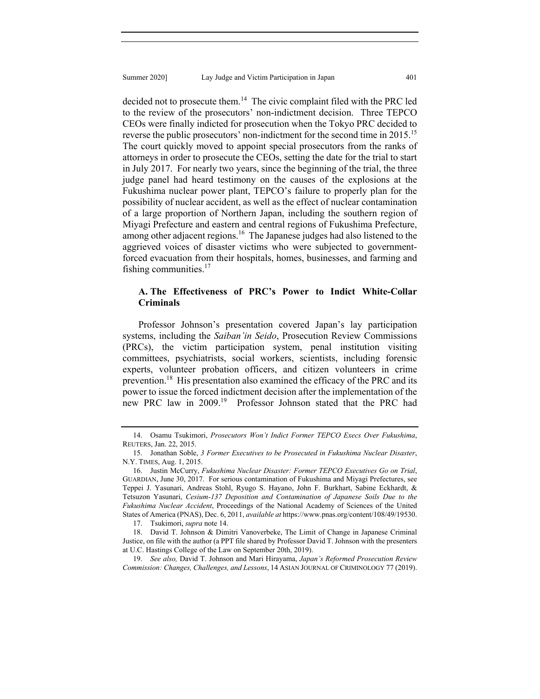decided not to prosecute them.<sup>14</sup> The civic complaint filed with the PRC led to the review of the prosecutors' non-indictment decision. Three TEPCO CEOs were finally indicted for prosecution when the Tokyo PRC decided to reverse the public prosecutors' non-indictment for the second time in 2015.<sup>15</sup> The court quickly moved to appoint special prosecutors from the ranks of attorneys in order to prosecute the CEOs, setting the date for the trial to start in July 2017. For nearly two years, since the beginning of the trial, the three judge panel had heard testimony on the causes of the explosions at the Fukushima nuclear power plant, TEPCO's failure to properly plan for the possibility of nuclear accident, as well as the effect of nuclear contamination of a large proportion of Northern Japan, including the southern region of Miyagi Prefecture and eastern and central regions of Fukushima Prefecture, among other adjacent regions.<sup>16</sup> The Japanese judges had also listened to the aggrieved voices of disaster victims who were subjected to governmentforced evacuation from their hospitals, homes, businesses, and farming and fishing communities. $17$ 

# **A. The Effectiveness of PRC's Power to Indict White-Collar Criminals**

Professor Johnson's presentation covered Japan's lay participation systems, including the *Saiban'in Seido*, Prosecution Review Commissions (PRCs), the victim participation system, penal institution visiting committees, psychiatrists, social workers, scientists, including forensic experts, volunteer probation officers, and citizen volunteers in crime prevention.<sup>18</sup> His presentation also examined the efficacy of the PRC and its power to issue the forced indictment decision after the implementation of the new PRC law in 2009.<sup>19</sup> Professor Johnson stated that the PRC had

 <sup>14.</sup> Osamu Tsukimori, *Prosecutors Won't Indict Former TEPCO Execs Over Fukushima*, REUTERS, Jan. 22, 2015.

 <sup>15.</sup> Jonathan Soble, *3 Former Executives to be Prosecuted in Fukushima Nuclear Disaster*, N.Y. TIMES, Aug. 1, 2015.

 <sup>16.</sup> Justin McCurry, *Fukushima Nuclear Disaster: Former TEPCO Executives Go on Trial*, GUARDIAN, June 30, 2017. For serious contamination of Fukushima and Miyagi Prefectures, see Teppei J. Yasunari, Andreas Stohl, Ryugo S. Hayano, John F. Burkhart, Sabine Eckhardt, & Tetsuzon Yasunari, *Cesium-137 Deposition and Contamination of Japanese Soils Due to the Fukushima Nuclear Accident*, Proceedings of the National Academy of Sciences of the United States of America (PNAS), Dec. 6, 2011, *available at* https://www.pnas.org/content/108/49/19530.

 <sup>17.</sup> Tsukimori, *supra* note 14.

 <sup>18.</sup> David T. Johnson & Dimitri Vanoverbeke, The Limit of Change in Japanese Criminal Justice, on file with the author (a PPT file shared by Professor David T. Johnson with the presenters at U.C. Hastings College of the Law on September 20th, 2019).

 <sup>19.</sup> *See also,* David T. Johnson and Mari Hirayama, *Japan's Reformed Prosecution Review Commission: Changes, Challenges, and Lessons*, 14 ASIAN JOURNAL OF CRIMINOLOGY 77 (2019).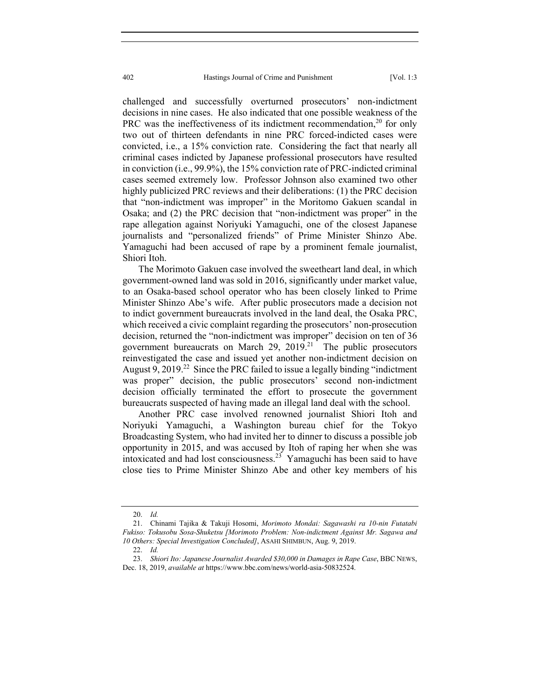challenged and successfully overturned prosecutors' non-indictment decisions in nine cases. He also indicated that one possible weakness of the PRC was the ineffectiveness of its indictment recommendation,  $20$  for only two out of thirteen defendants in nine PRC forced-indicted cases were convicted, i.e., a 15% conviction rate. Considering the fact that nearly all criminal cases indicted by Japanese professional prosecutors have resulted in conviction (i.e., 99.9%), the 15% conviction rate of PRC-indicted criminal cases seemed extremely low. Professor Johnson also examined two other highly publicized PRC reviews and their deliberations: (1) the PRC decision that "non-indictment was improper" in the Moritomo Gakuen scandal in Osaka; and (2) the PRC decision that "non-indictment was proper" in the rape allegation against Noriyuki Yamaguchi, one of the closest Japanese journalists and "personalized friends" of Prime Minister Shinzo Abe. Yamaguchi had been accused of rape by a prominent female journalist, Shiori Itoh.

The Morimoto Gakuen case involved the sweetheart land deal, in which government-owned land was sold in 2016, significantly under market value, to an Osaka-based school operator who has been closely linked to Prime Minister Shinzo Abe's wife. After public prosecutors made a decision not to indict government bureaucrats involved in the land deal, the Osaka PRC, which received a civic complaint regarding the prosecutors' non-prosecution decision, returned the "non-indictment was improper" decision on ten of 36 government bureaucrats on March 29,  $2019$ <sup>21</sup> The public prosecutors reinvestigated the case and issued yet another non-indictment decision on August 9, 2019.<sup>22</sup> Since the PRC failed to issue a legally binding "indictment" was proper" decision, the public prosecutors' second non-indictment decision officially terminated the effort to prosecute the government bureaucrats suspected of having made an illegal land deal with the school.

Another PRC case involved renowned journalist Shiori Itoh and Noriyuki Yamaguchi, a Washington bureau chief for the Tokyo Broadcasting System, who had invited her to dinner to discuss a possible job opportunity in 2015, and was accused by Itoh of raping her when she was intoxicated and had lost consciousness.<sup>23</sup> Yamaguchi has been said to have close ties to Prime Minister Shinzo Abe and other key members of his

 <sup>20.</sup> *Id.*

 <sup>21.</sup> Chinami Tajika & Takuji Hosomi, *Morimoto Mondai: Sagawashi ra 10-nin Futatabi Fukiso: Tokusobu Sosa-Shuketsu [Morimoto Problem: Non-indictment Against Mr. Sagawa and 10 Others: Special Investigation Concluded]*, ASAHI SHIMBUN, Aug. 9, 2019.

 <sup>22.</sup> *Id.*

 <sup>23.</sup> *Shiori Ito: Japanese Journalist Awarded \$30,000 in Damages in Rape Case*, BBC NEWS, Dec. 18, 2019, *available at* https://www.bbc.com/news/world-asia-50832524.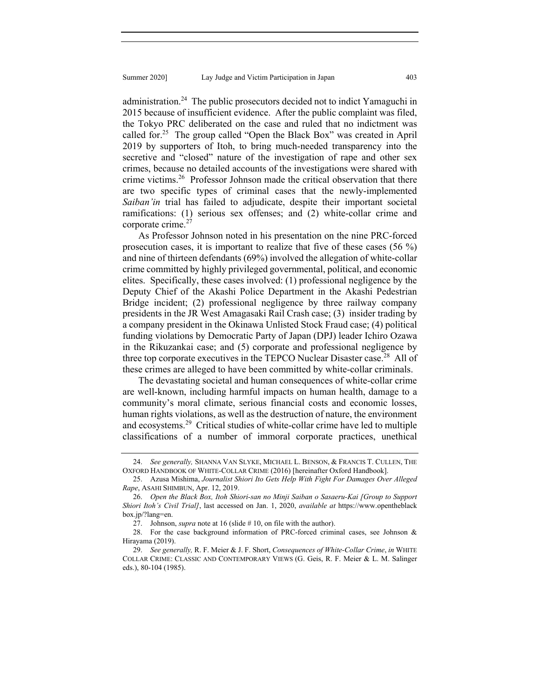administration.<sup>24</sup> The public prosecutors decided not to indict Yamaguchi in

2015 because of insufficient evidence. After the public complaint was filed, the Tokyo PRC deliberated on the case and ruled that no indictment was called for.<sup>25</sup> The group called "Open the Black Box" was created in April 2019 by supporters of Itoh, to bring much-needed transparency into the secretive and "closed" nature of the investigation of rape and other sex crimes, because no detailed accounts of the investigations were shared with crime victims.<sup>26</sup> Professor Johnson made the critical observation that there are two specific types of criminal cases that the newly-implemented *Saiban'in* trial has failed to adjudicate, despite their important societal ramifications: (1) serious sex offenses; and (2) white-collar crime and corporate crime. $27$ 

As Professor Johnson noted in his presentation on the nine PRC-forced prosecution cases, it is important to realize that five of these cases (56 %) and nine of thirteen defendants (69%) involved the allegation of white-collar crime committed by highly privileged governmental, political, and economic elites. Specifically, these cases involved: (1) professional negligence by the Deputy Chief of the Akashi Police Department in the Akashi Pedestrian Bridge incident; (2) professional negligence by three railway company presidents in the JR West Amagasaki Rail Crash case; (3) insider trading by a company president in the Okinawa Unlisted Stock Fraud case; (4) political funding violations by Democratic Party of Japan (DPJ) leader Ichiro Ozawa in the Rikuzankai case; and (5) corporate and professional negligence by three top corporate executives in the TEPCO Nuclear Disaster case.<sup>28</sup> All of these crimes are alleged to have been committed by white-collar criminals.

The devastating societal and human consequences of white-collar crime are well-known, including harmful impacts on human health, damage to a community's moral climate, serious financial costs and economic losses, human rights violations, as well as the destruction of nature, the environment and ecosystems.29 Critical studies of white-collar crime have led to multiple classifications of a number of immoral corporate practices, unethical

 <sup>24.</sup> *See generally,* SHANNA VAN SLYKE, MICHAEL L. BENSON, & FRANCIS T. CULLEN, THE OXFORD HANDBOOK OF WHITE-COLLAR CRIME (2016) [hereinafter Oxford Handbook].

 <sup>25.</sup> Azusa Mishima, *Journalist Shiori Ito Gets Help With Fight For Damages Over Alleged Rape*, ASAHI SHIMBUN, Apr. 12, 2019.

 <sup>26.</sup> *Open the Black Box, Itoh Shiori-san no Minji Saiban o Sasaeru-Kai [Group to Support Shiori Itoh's Civil Trial]*, last accessed on Jan. 1, 2020, *available at* https://www.opentheblack box.jp/?lang=en.

<sup>27.</sup> Johnson, *supra* note at 16 (slide #10, on file with the author).

 <sup>28.</sup> For the case background information of PRC-forced criminal cases, see Johnson & Hirayama (2019).

 <sup>29.</sup> *See generally,* R. F. Meier & J. F. Short, *Consequences of White-Collar Crime*, *in* WHITE COLLAR CRIME: CLASSIC AND CONTEMPORARY VIEWS (G. Geis, R. F. Meier & L. M. Salinger eds.), 80-104 (1985).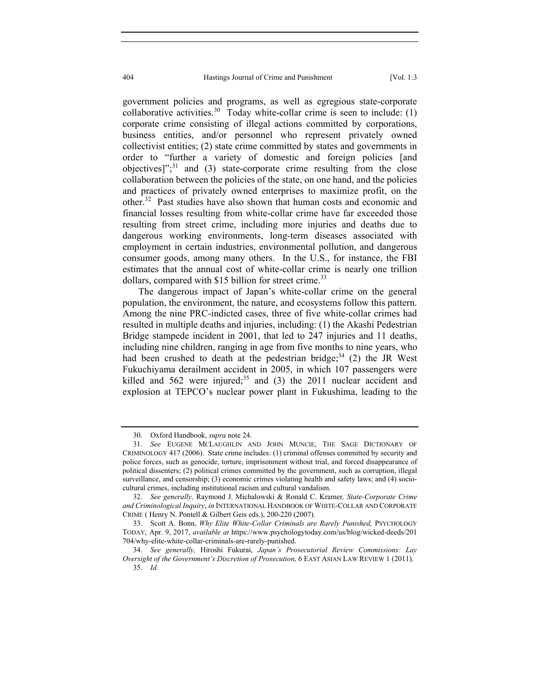government policies and programs, as well as egregious state-corporate collaborative activities.<sup>30</sup> Today white-collar crime is seen to include:  $(1)$ corporate crime consisting of illegal actions committed by corporations, business entities, and/or personnel who represent privately owned collectivist entities; (2) state crime committed by states and governments in order to "further a variety of domestic and foreign policies [and objectives]"; $31$  and (3) state-corporate crime resulting from the close collaboration between the policies of the state, on one hand, and the policies and practices of privately owned enterprises to maximize profit, on the other.32 Past studies have also shown that human costs and economic and financial losses resulting from white-collar crime have far exceeded those resulting from street crime, including more injuries and deaths due to dangerous working environments, long-term diseases associated with employment in certain industries, environmental pollution, and dangerous consumer goods, among many others. In the U.S., for instance, the FBI estimates that the annual cost of white-collar crime is nearly one trillion dollars, compared with  $$15$  billion for street crime.<sup>33</sup>

The dangerous impact of Japan's white-collar crime on the general population, the environment, the nature, and ecosystems follow this pattern. Among the nine PRC-indicted cases, three of five white-collar crimes had resulted in multiple deaths and injuries, including: (1) the Akashi Pedestrian Bridge stampede incident in 2001, that led to 247 injuries and 11 deaths, including nine children, ranging in age from five months to nine years, who had been crushed to death at the pedestrian bridge;  $34$  (2) the JR West Fukuchiyama derailment accident in 2005, in which 107 passengers were killed and  $562$  were injured;<sup>35</sup> and (3) the 2011 nuclear accident and explosion at TEPCO's nuclear power plant in Fukushima, leading to the

 <sup>30.</sup> Oxford Handbook, *supra* note 24.

 <sup>31.</sup> *See* EUGENE MCLAUGHLIN AND JOHN MUNCIE, THE SAGE DICTIONARY OF CRIMINOLOGY 417 (2006). State crime includes: (1) criminal offenses committed by security and police forces, such as genocide, torture, imprisonment without trial, and forced disappearance of political dissenters; (2) political crimes committed by the government, such as corruption, illegal surveillance, and censorship; (3) economic crimes violating health and safety laws; and (4) sociocultural crimes, including institutional racism and cultural vandalism.

 <sup>32.</sup> *See generally,* Raymond J. Michalowski & Ronald C. Kramer*, State-Corporate Crime and Criminological Inquiry*, *in* INTERNATIONAL HANDBOOK OF WHITE-COLLAR AND CORPORATE CRIME ( Henry N. Pontell & Gilbert Geis eds.), 200-220 (2007).

<sup>33.</sup> Scott A. Bonn, *Why Elite White-Collar Criminals are Rarely Punished*, PSYCHOLOGY TODAY, Apr. 9, 2017, *available at* https://www.psychologytoday.com/us/blog/wicked-deeds/201 704/why-elite-white-collar-criminals-are-rarely-punished.

 <sup>34.</sup> *See generally,* Hiroshi Fukurai, *Japan's Prosecutorial Review Commissions: Lay Oversight of the Government's Discretion of Prosecution*, 6 EAST ASIAN LAW REVIEW 1 (2011). 35. *Id.*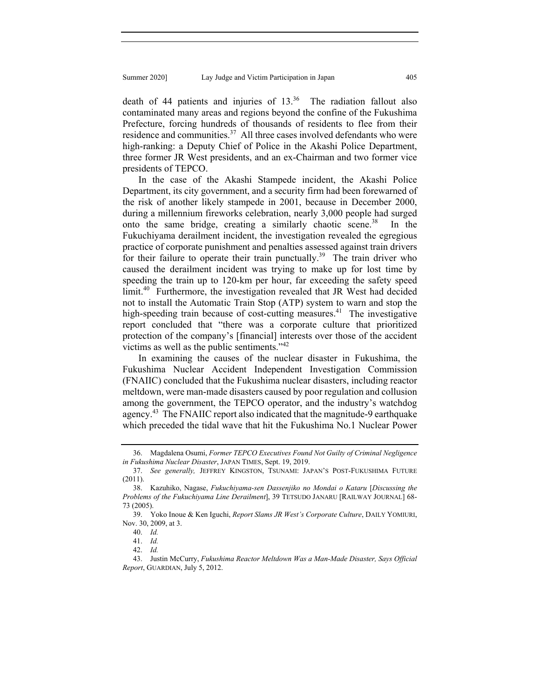death of 44 patients and injuries of  $13^{36}$  The radiation fallout also contaminated many areas and regions beyond the confine of the Fukushima Prefecture, forcing hundreds of thousands of residents to flee from their residence and communities.<sup>37</sup> All three cases involved defendants who were high-ranking: a Deputy Chief of Police in the Akashi Police Department, three former JR West presidents, and an ex-Chairman and two former vice presidents of TEPCO.

In the case of the Akashi Stampede incident, the Akashi Police Department, its city government, and a security firm had been forewarned of the risk of another likely stampede in 2001, because in December 2000, during a millennium fireworks celebration, nearly 3,000 people had surged onto the same bridge, creating a similarly chaotic scene.<sup>38</sup> In the Fukuchiyama derailment incident, the investigation revealed the egregious practice of corporate punishment and penalties assessed against train drivers for their failure to operate their train punctually.<sup>39</sup> The train driver who caused the derailment incident was trying to make up for lost time by speeding the train up to 120-km per hour, far exceeding the safety speed limit.<sup>40</sup> Furthermore, the investigation revealed that JR West had decided not to install the Automatic Train Stop (ATP) system to warn and stop the high-speeding train because of cost-cutting measures.<sup>41</sup> The investigative report concluded that "there was a corporate culture that prioritized protection of the company's [financial] interests over those of the accident victims as well as the public sentiments."<sup>42</sup>

In examining the causes of the nuclear disaster in Fukushima, the Fukushima Nuclear Accident Independent Investigation Commission (FNAIIC) concluded that the Fukushima nuclear disasters, including reactor meltdown, were man-made disasters caused by poor regulation and collusion among the government, the TEPCO operator, and the industry's watchdog agency.<sup>43</sup> The FNAIIC report also indicated that the magnitude-9 earthquake which preceded the tidal wave that hit the Fukushima No.1 Nuclear Power

 <sup>36.</sup> Magdalena Osumi, *Former TEPCO Executives Found Not Guilty of Criminal Negligence in Fukushima Nuclear Disaster*, JAPAN TIMES, Sept. 19, 2019.

 <sup>37.</sup> *See generally,* JEFFREY KINGSTON, TSUNAMI: JAPAN'S POST-FUKUSHIMA FUTURE (2011).

 <sup>38.</sup> Kazuhiko, Nagase, *Fukuchiyama-sen Dassenjiko no Mondai o Kataru* [*Discussing the Problems of the Fukuchiyama Line Derailment*], 39 TETSUDO JANARU [RAILWAY JOURNAL] 68- 73 (2005).

 <sup>39.</sup> Yoko Inoue & Ken Iguchi, *Report Slams JR West's Corporate Culture*, DAILY YOMIURI, Nov. 30, 2009, at 3.

 <sup>40.</sup> *Id.* 

 <sup>41.</sup> *Id.*

 <sup>42.</sup> *Id.*

 <sup>43.</sup> Justin McCurry, *Fukushima Reactor Meltdown Was a Man-Made Disaster, Says Official Report*, GUARDIAN, July 5, 2012.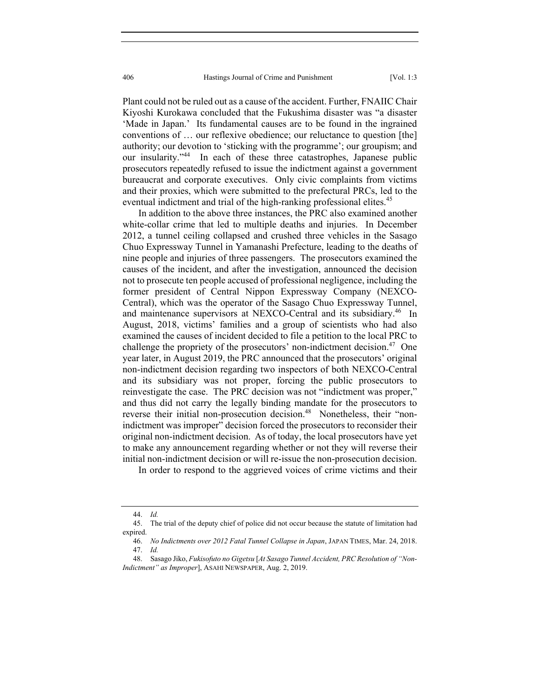Plant could not be ruled out as a cause of the accident. Further, FNAIIC Chair Kiyoshi Kurokawa concluded that the Fukushima disaster was "a disaster 'Made in Japan.' Its fundamental causes are to be found in the ingrained conventions of … our reflexive obedience; our reluctance to question [the] authority; our devotion to 'sticking with the programme'; our groupism; and our insularity."<sup>44</sup> In each of these three catastrophes, Japanese public prosecutors repeatedly refused to issue the indictment against a government bureaucrat and corporate executives. Only civic complaints from victims and their proxies, which were submitted to the prefectural PRCs, led to the eventual indictment and trial of the high-ranking professional elites.<sup>45</sup>

In addition to the above three instances, the PRC also examined another white-collar crime that led to multiple deaths and injuries. In December 2012, a tunnel ceiling collapsed and crushed three vehicles in the Sasago Chuo Expressway Tunnel in Yamanashi Prefecture, leading to the deaths of nine people and injuries of three passengers. The prosecutors examined the causes of the incident, and after the investigation, announced the decision not to prosecute ten people accused of professional negligence, including the former president of Central Nippon Expressway Company (NEXCO-Central), which was the operator of the Sasago Chuo Expressway Tunnel, and maintenance supervisors at NEXCO-Central and its subsidiary.<sup>46</sup> In August, 2018, victims' families and a group of scientists who had also examined the causes of incident decided to file a petition to the local PRC to challenge the propriety of the prosecutors' non-indictment decision.<sup>47</sup> One year later, in August 2019, the PRC announced that the prosecutors' original non-indictment decision regarding two inspectors of both NEXCO-Central and its subsidiary was not proper, forcing the public prosecutors to reinvestigate the case. The PRC decision was not "indictment was proper," and thus did not carry the legally binding mandate for the prosecutors to reverse their initial non-prosecution decision.<sup>48</sup> Nonetheless, their "nonindictment was improper" decision forced the prosecutors to reconsider their original non-indictment decision. As of today, the local prosecutors have yet to make any announcement regarding whether or not they will reverse their initial non-indictment decision or will re-issue the non-prosecution decision.

In order to respond to the aggrieved voices of crime victims and their

 <sup>44.</sup> *Id.*

 <sup>45.</sup> The trial of the deputy chief of police did not occur because the statute of limitation had expired.

 <sup>46.</sup> *No Indictments over 2012 Fatal Tunnel Collapse in Japan*, JAPAN TIMES, Mar. 24, 2018. 47. *Id.*

 <sup>48.</sup> Sasago Jiko, *Fukisofuto no Gigetsu* [*At Sasago Tunnel Accident, PRC Resolution of "Non-Indictment" as Improper*], ASAHI NEWSPAPER, Aug. 2, 2019.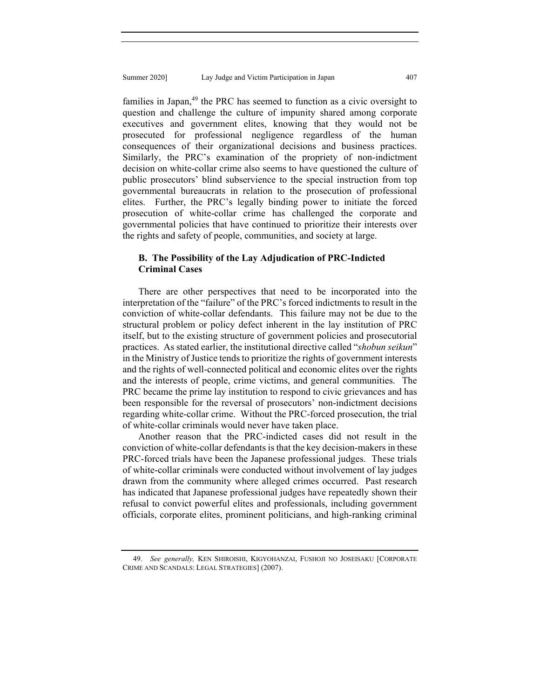families in Japan, $49$  the PRC has seemed to function as a civic oversight to question and challenge the culture of impunity shared among corporate executives and government elites, knowing that they would not be prosecuted for professional negligence regardless of the human consequences of their organizational decisions and business practices. Similarly, the PRC's examination of the propriety of non-indictment decision on white-collar crime also seems to have questioned the culture of public prosecutors' blind subservience to the special instruction from top governmental bureaucrats in relation to the prosecution of professional elites. Further, the PRC's legally binding power to initiate the forced prosecution of white-collar crime has challenged the corporate and governmental policies that have continued to prioritize their interests over the rights and safety of people, communities, and society at large.

# **B. The Possibility of the Lay Adjudication of PRC-Indicted Criminal Cases**

There are other perspectives that need to be incorporated into the interpretation of the "failure" of the PRC's forced indictments to result in the conviction of white-collar defendants. This failure may not be due to the structural problem or policy defect inherent in the lay institution of PRC itself, but to the existing structure of government policies and prosecutorial practices. As stated earlier, the institutional directive called "*shobun seikun*" in the Ministry of Justice tends to prioritize the rights of government interests and the rights of well-connected political and economic elites over the rights and the interests of people, crime victims, and general communities. The PRC became the prime lay institution to respond to civic grievances and has been responsible for the reversal of prosecutors' non-indictment decisions regarding white-collar crime. Without the PRC-forced prosecution, the trial of white-collar criminals would never have taken place.

Another reason that the PRC-indicted cases did not result in the conviction of white-collar defendants is that the key decision-makers in these PRC-forced trials have been the Japanese professional judges. These trials of white-collar criminals were conducted without involvement of lay judges drawn from the community where alleged crimes occurred. Past research has indicated that Japanese professional judges have repeatedly shown their refusal to convict powerful elites and professionals, including government officials, corporate elites, prominent politicians, and high-ranking criminal

 <sup>49.</sup> *See generally,* KEN SHIROISHI, KIGYOHANZAI, FUSHOJI NO JOSEISAKU [CORPORATE CRIME AND SCANDALS: LEGAL STRATEGIES] (2007).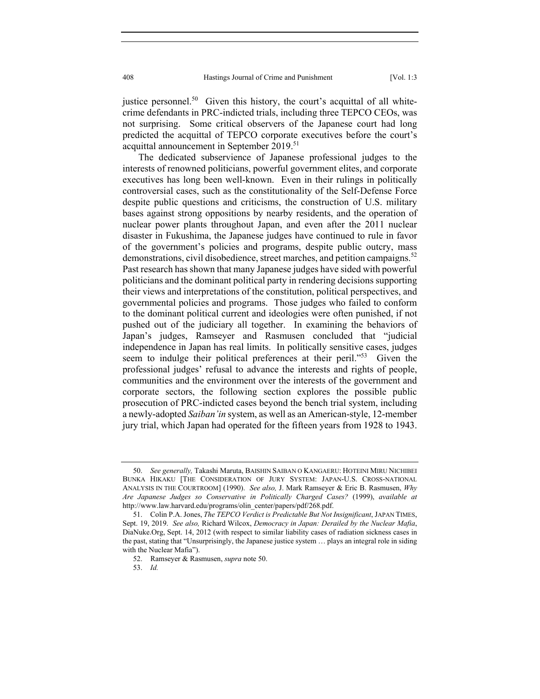justice personnel.<sup>50</sup> Given this history, the court's acquittal of all whitecrime defendants in PRC-indicted trials, including three TEPCO CEOs, was not surprising. Some critical observers of the Japanese court had long predicted the acquittal of TEPCO corporate executives before the court's acquittal announcement in September 2019.<sup>51</sup>

The dedicated subservience of Japanese professional judges to the interests of renowned politicians, powerful government elites, and corporate executives has long been well-known. Even in their rulings in politically controversial cases, such as the constitutionality of the Self-Defense Force despite public questions and criticisms, the construction of U.S. military bases against strong oppositions by nearby residents, and the operation of nuclear power plants throughout Japan, and even after the 2011 nuclear disaster in Fukushima, the Japanese judges have continued to rule in favor of the government's policies and programs, despite public outcry, mass demonstrations, civil disobedience, street marches, and petition campaigns.<sup>52</sup> Past research has shown that many Japanese judges have sided with powerful politicians and the dominant political party in rendering decisions supporting their views and interpretations of the constitution, political perspectives, and governmental policies and programs. Those judges who failed to conform to the dominant political current and ideologies were often punished, if not pushed out of the judiciary all together. In examining the behaviors of Japan's judges, Ramseyer and Rasmusen concluded that "judicial independence in Japan has real limits. In politically sensitive cases, judges seem to indulge their political preferences at their peril."<sup>53</sup> Given the professional judges' refusal to advance the interests and rights of people, communities and the environment over the interests of the government and corporate sectors, the following section explores the possible public prosecution of PRC-indicted cases beyond the bench trial system, including a newly-adopted *Saiban'in* system, as well as an American-style, 12-member jury trial, which Japan had operated for the fifteen years from 1928 to 1943.

 <sup>50.</sup> *See generally,* Takashi Maruta, BAISHIN SAIBAN O KANGAERU: HOTEINI MIRU NICHIBEI BUNKA HIKAKU [THE CONSIDERATION OF JURY SYSTEM: JAPAN-U.S. CROSS-NATIONAL ANALYSIS IN THE COURTROOM] (1990). *See also,* J. Mark Ramseyer & Eric B. Rasmusen, *Why Are Japanese Judges so Conservative in Politically Charged Cases?* (1999), *available at*  http://www.law.harvard.edu/programs/olin\_center/papers/pdf/268.pdf.

 <sup>51.</sup> Colin P.A. Jones, *The TEPCO Verdict is Predictable But Not Insignificant*, JAPAN TIMES, Sept. 19, 2019. *See also,* Richard Wilcox, *Democracy in Japan: Derailed by the Nuclear Mafia*, DiaNuke.Org, Sept. 14, 2012 (with respect to similar liability cases of radiation sickness cases in the past, stating that "Unsurprisingly, the Japanese justice system … plays an integral role in siding with the Nuclear Mafia").

 <sup>52.</sup> Ramseyer & Rasmusen, *supra* note 50.

 <sup>53.</sup> *Id.*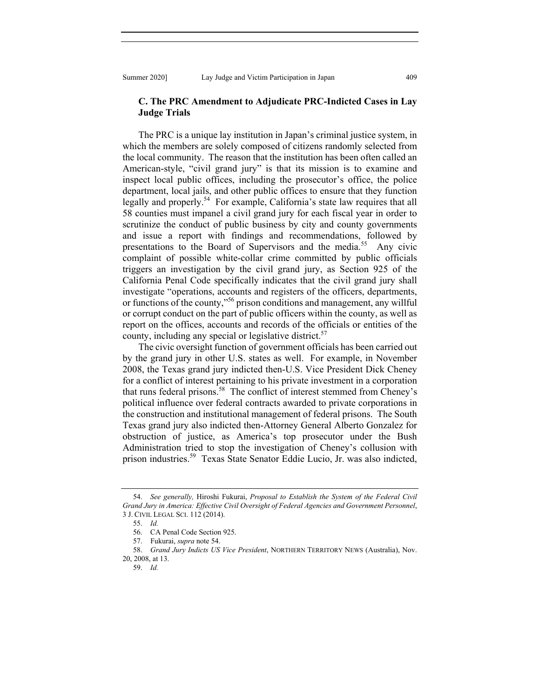## **C. The PRC Amendment to Adjudicate PRC-Indicted Cases in Lay Judge Trials**

The PRC is a unique lay institution in Japan's criminal justice system, in which the members are solely composed of citizens randomly selected from the local community. The reason that the institution has been often called an American-style, "civil grand jury" is that its mission is to examine and inspect local public offices, including the prosecutor's office, the police department, local jails, and other public offices to ensure that they function legally and properly.<sup>54</sup> For example, California's state law requires that all 58 counties must impanel a civil grand jury for each fiscal year in order to scrutinize the conduct of public business by city and county governments and issue a report with findings and recommendations, followed by presentations to the Board of Supervisors and the media.<sup>55</sup> Any civic complaint of possible white-collar crime committed by public officials triggers an investigation by the civil grand jury, as Section 925 of the California Penal Code specifically indicates that the civil grand jury shall investigate "operations, accounts and registers of the officers, departments, or functions of the county,"<sup>56</sup> prison conditions and management, any willful or corrupt conduct on the part of public officers within the county, as well as report on the offices, accounts and records of the officials or entities of the county, including any special or legislative district.<sup>57</sup>

The civic oversight function of government officials has been carried out by the grand jury in other U.S. states as well. For example, in November 2008, the Texas grand jury indicted then-U.S. Vice President Dick Cheney for a conflict of interest pertaining to his private investment in a corporation that runs federal prisons.<sup>58</sup> The conflict of interest stemmed from Cheney's political influence over federal contracts awarded to private corporations in the construction and institutional management of federal prisons. The South Texas grand jury also indicted then-Attorney General Alberto Gonzalez for obstruction of justice, as America's top prosecutor under the Bush Administration tried to stop the investigation of Cheney's collusion with prison industries.59 Texas State Senator Eddie Lucio, Jr. was also indicted,

 <sup>54.</sup> *See generally,* Hiroshi Fukurai, *Proposal to Establish the System of the Federal Civil Grand Jury in America: Effective Civil Oversight of Federal Agencies and Government Personnel*, 3 J. CIVIL LEGAL SCI. 112 (2014).

 <sup>55.</sup> *Id.*

 <sup>56.</sup> CA Penal Code Section 925.

 <sup>57.</sup> Fukurai, *supra* note 54.

 <sup>58.</sup> *Grand Jury Indicts US Vice President*, NORTHERN TERRITORY NEWS (Australia), Nov. 20, 2008, at 13.

 <sup>59.</sup> *Id.*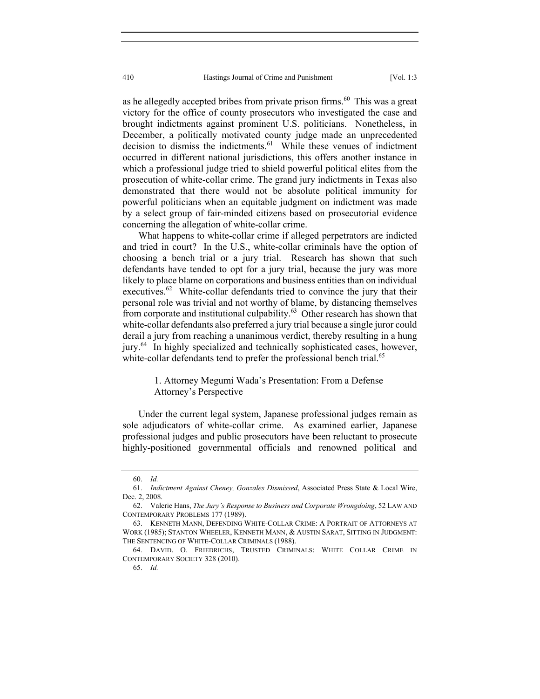as he allegedly accepted bribes from private prison firms. $60$  This was a great victory for the office of county prosecutors who investigated the case and brought indictments against prominent U.S. politicians. Nonetheless, in December, a politically motivated county judge made an unprecedented decision to dismiss the indictments.<sup>61</sup> While these venues of indictment occurred in different national jurisdictions, this offers another instance in which a professional judge tried to shield powerful political elites from the prosecution of white-collar crime. The grand jury indictments in Texas also demonstrated that there would not be absolute political immunity for powerful politicians when an equitable judgment on indictment was made by a select group of fair-minded citizens based on prosecutorial evidence concerning the allegation of white-collar crime.

What happens to white-collar crime if alleged perpetrators are indicted and tried in court? In the U.S., white-collar criminals have the option of choosing a bench trial or a jury trial. Research has shown that such defendants have tended to opt for a jury trial, because the jury was more likely to place blame on corporations and business entities than on individual executives.<sup>62</sup> White-collar defendants tried to convince the jury that their personal role was trivial and not worthy of blame, by distancing themselves from corporate and institutional culpability. $^{63}$  Other research has shown that white-collar defendants also preferred a jury trial because a single juror could derail a jury from reaching a unanimous verdict, thereby resulting in a hung jury.<sup>64</sup> In highly specialized and technically sophisticated cases, however, white-collar defendants tend to prefer the professional bench trial.<sup>65</sup>

> 1. Attorney Megumi Wada's Presentation: From a Defense Attorney's Perspective

Under the current legal system, Japanese professional judges remain as sole adjudicators of white-collar crime. As examined earlier, Japanese professional judges and public prosecutors have been reluctant to prosecute highly-positioned governmental officials and renowned political and

65. *Id.*

 <sup>60.</sup> *Id.*

 <sup>61.</sup> *Indictment Against Cheney, Gonzales Dismissed*, Associated Press State & Local Wire, Dec. 2, 2008.

 <sup>62.</sup> Valerie Hans, *The Jury's Response to Business and Corporate Wrongdoing*, 52 LAW AND CONTEMPORARY PROBLEMS 177 (1989).

 <sup>63.</sup> KENNETH MANN, DEFENDING WHITE-COLLAR CRIME: A PORTRAIT OF ATTORNEYS AT WORK (1985); STANTON WHEELER, KENNETH MANN, & AUSTIN SARAT, SITTING IN JUDGMENT: THE SENTENCING OF WHITE-COLLAR CRIMINALS (1988).

 <sup>64.</sup> DAVID. O. FRIEDRICHS, TRUSTED CRIMINALS: WHITE COLLAR CRIME IN CONTEMPORARY SOCIETY 328 (2010).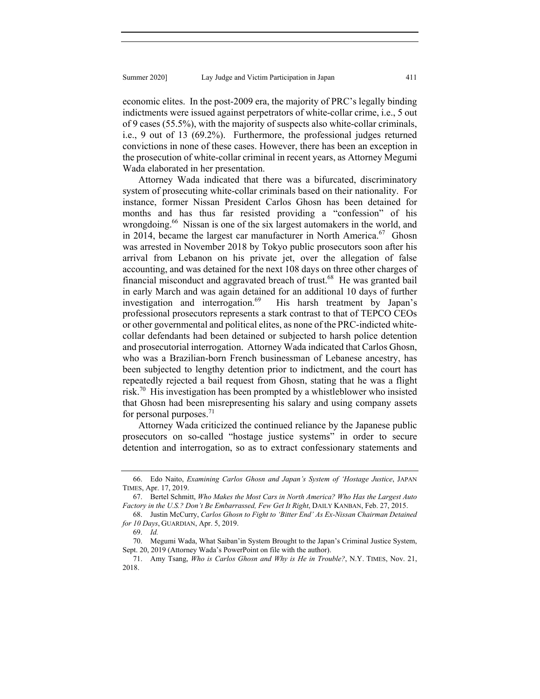economic elites. In the post-2009 era, the majority of PRC's legally binding indictments were issued against perpetrators of white-collar crime, i.e., 5 out of 9 cases (55.5%), with the majority of suspects also white-collar criminals, i.e., 9 out of 13 (69.2%). Furthermore, the professional judges returned convictions in none of these cases. However, there has been an exception in the prosecution of white-collar criminal in recent years, as Attorney Megumi Wada elaborated in her presentation.

Attorney Wada indicated that there was a bifurcated, discriminatory system of prosecuting white-collar criminals based on their nationality. For instance, former Nissan President Carlos Ghosn has been detained for months and has thus far resisted providing a "confession" of his wrongdoing.<sup>66</sup> Nissan is one of the six largest automakers in the world, and in 2014, became the largest car manufacturer in North America.<sup>67</sup> Ghosn was arrested in November 2018 by Tokyo public prosecutors soon after his arrival from Lebanon on his private jet, over the allegation of false accounting, and was detained for the next 108 days on three other charges of financial misconduct and aggravated breach of trust.<sup>68</sup> He was granted bail in early March and was again detained for an additional 10 days of further investigation and interrogation.<sup>69</sup> His harsh treatment by Japan's professional prosecutors represents a stark contrast to that of TEPCO CEOs or other governmental and political elites, as none of the PRC-indicted whitecollar defendants had been detained or subjected to harsh police detention and prosecutorial interrogation. Attorney Wada indicated that Carlos Ghosn, who was a Brazilian-born French businessman of Lebanese ancestry, has been subjected to lengthy detention prior to indictment, and the court has repeatedly rejected a bail request from Ghosn, stating that he was a flight risk.<sup>70</sup> His investigation has been prompted by a whistleblower who insisted that Ghosn had been misrepresenting his salary and using company assets for personal purposes. $^{71}$ 

Attorney Wada criticized the continued reliance by the Japanese public prosecutors on so-called "hostage justice systems" in order to secure detention and interrogation, so as to extract confessionary statements and

 <sup>66.</sup> Edo Naito, *Examining Carlos Ghosn and Japan's System of 'Hostage Justice*, JAPAN TIMES, Apr. 17, 2019.

 <sup>67.</sup> Bertel Schmitt, *Who Makes the Most Cars in North America? Who Has the Largest Auto Factory in the U.S.? Don't Be Embarrassed, Few Get It Right*, DAILY KANBAN, Feb. 27, 2015.

 <sup>68.</sup> Justin McCurry, *Carlos Ghosn to Fight to 'Bitter End' As Ex-Nissan Chairman Detained for 10 Days*, GUARDIAN, Apr. 5, 2019.

 <sup>69.</sup> *Id.*

 <sup>70.</sup> Megumi Wada, What Saiban'in System Brought to the Japan's Criminal Justice System, Sept. 20, 2019 (Attorney Wada's PowerPoint on file with the author).

 <sup>71.</sup> Amy Tsang, *Who is Carlos Ghosn and Why is He in Trouble?*, N.Y. TIMES, Nov. 21, 2018.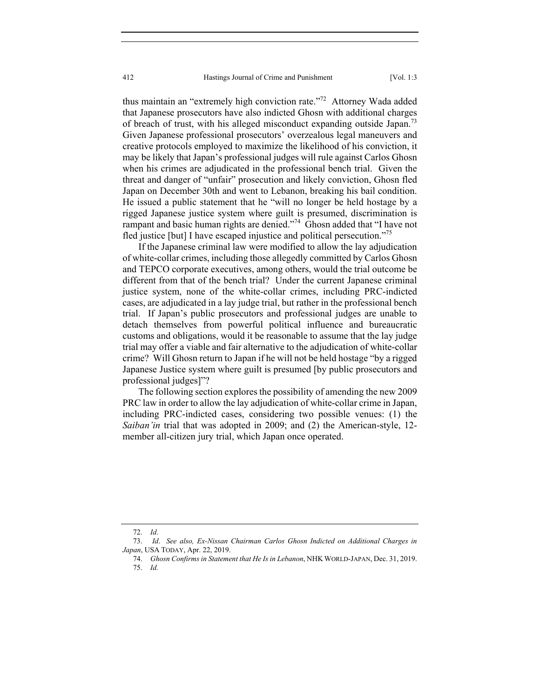thus maintain an "extremely high conviction rate."<sup>72</sup> Attorney Wada added that Japanese prosecutors have also indicted Ghosn with additional charges of breach of trust, with his alleged misconduct expanding outside Japan.<sup>73</sup> Given Japanese professional prosecutors' overzealous legal maneuvers and creative protocols employed to maximize the likelihood of his conviction, it may be likely that Japan's professional judges will rule against Carlos Ghosn when his crimes are adjudicated in the professional bench trial. Given the threat and danger of "unfair" prosecution and likely conviction, Ghosn fled Japan on December 30th and went to Lebanon, breaking his bail condition. He issued a public statement that he "will no longer be held hostage by a rigged Japanese justice system where guilt is presumed, discrimination is rampant and basic human rights are denied."<sup>74</sup> Ghosn added that "I have not fled justice [but] I have escaped injustice and political persecution."<sup>75</sup>

If the Japanese criminal law were modified to allow the lay adjudication of white-collar crimes, including those allegedly committed by Carlos Ghosn and TEPCO corporate executives, among others, would the trial outcome be different from that of the bench trial? Under the current Japanese criminal justice system, none of the white-collar crimes, including PRC-indicted cases, are adjudicated in a lay judge trial, but rather in the professional bench trial. If Japan's public prosecutors and professional judges are unable to detach themselves from powerful political influence and bureaucratic customs and obligations, would it be reasonable to assume that the lay judge trial may offer a viable and fair alternative to the adjudication of white-collar crime? Will Ghosn return to Japan if he will not be held hostage "by a rigged Japanese Justice system where guilt is presumed [by public prosecutors and professional judges]"?

The following section explores the possibility of amending the new 2009 PRC law in order to allow the lay adjudication of white-collar crime in Japan, including PRC-indicted cases, considering two possible venues: (1) the *Saiban'in* trial that was adopted in 2009; and (2) the American-style, 12 member all-citizen jury trial, which Japan once operated.

 <sup>72.</sup> *Id*.

 <sup>73.</sup> *Id*. *See also, Ex-Nissan Chairman Carlos Ghosn Indicted on Additional Charges in Japan*, USA TODAY, Apr. 22, 2019.

 <sup>74.</sup> *Ghosn Confirms in Statement that He Is in Lebanon*, NHK WORLD-JAPAN, Dec. 31, 2019. 75. *Id.*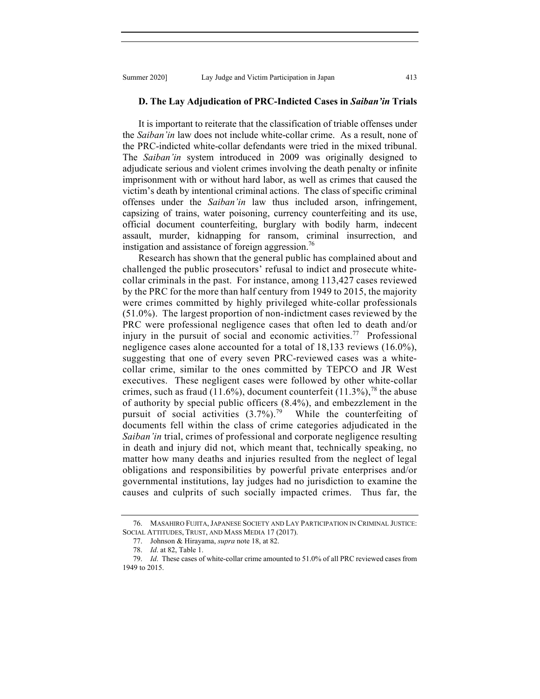#### **D. The Lay Adjudication of PRC-Indicted Cases in** *Saiban'in* **Trials**

It is important to reiterate that the classification of triable offenses under the *Saiban'in* law does not include white-collar crime. As a result, none of the PRC-indicted white-collar defendants were tried in the mixed tribunal. The *Saiban'in* system introduced in 2009 was originally designed to adjudicate serious and violent crimes involving the death penalty or infinite imprisonment with or without hard labor, as well as crimes that caused the victim's death by intentional criminal actions. The class of specific criminal offenses under the *Saiban'in* law thus included arson, infringement, capsizing of trains, water poisoning, currency counterfeiting and its use, official document counterfeiting, burglary with bodily harm, indecent assault, murder, kidnapping for ransom, criminal insurrection, and instigation and assistance of foreign aggression.<sup>76</sup>

Research has shown that the general public has complained about and challenged the public prosecutors' refusal to indict and prosecute whitecollar criminals in the past. For instance, among 113,427 cases reviewed by the PRC for the more than half century from 1949 to 2015, the majority were crimes committed by highly privileged white-collar professionals (51.0%). The largest proportion of non-indictment cases reviewed by the PRC were professional negligence cases that often led to death and/or injury in the pursuit of social and economic activities.<sup>77</sup> Professional negligence cases alone accounted for a total of 18,133 reviews (16.0%), suggesting that one of every seven PRC-reviewed cases was a whitecollar crime, similar to the ones committed by TEPCO and JR West executives. These negligent cases were followed by other white-collar crimes, such as fraud (11.6%), document counterfeit (11.3%),<sup>78</sup> the abuse of authority by special public officers (8.4%), and embezzlement in the pursuit of social activities  $(3.7\%)$ .<sup>79</sup> While the counterfeiting of documents fell within the class of crime categories adjudicated in the *Saiban'in* trial, crimes of professional and corporate negligence resulting in death and injury did not, which meant that, technically speaking, no matter how many deaths and injuries resulted from the neglect of legal obligations and responsibilities by powerful private enterprises and/or governmental institutions, lay judges had no jurisdiction to examine the causes and culprits of such socially impacted crimes. Thus far, the

 <sup>76.</sup> MASAHIRO FUJITA, JAPANESE SOCIETY AND LAY PARTICIPATION IN CRIMINAL JUSTICE: SOCIAL ATTITUDES, TRUST, AND MASS MEDIA 17 (2017).

 <sup>77.</sup> Johnson & Hirayama, *supra* note 18, at 82.

 <sup>78.</sup> *Id*. at 82, Table 1.

 <sup>79.</sup> *Id*. These cases of white-collar crime amounted to 51.0% of all PRC reviewed cases from 1949 to 2015.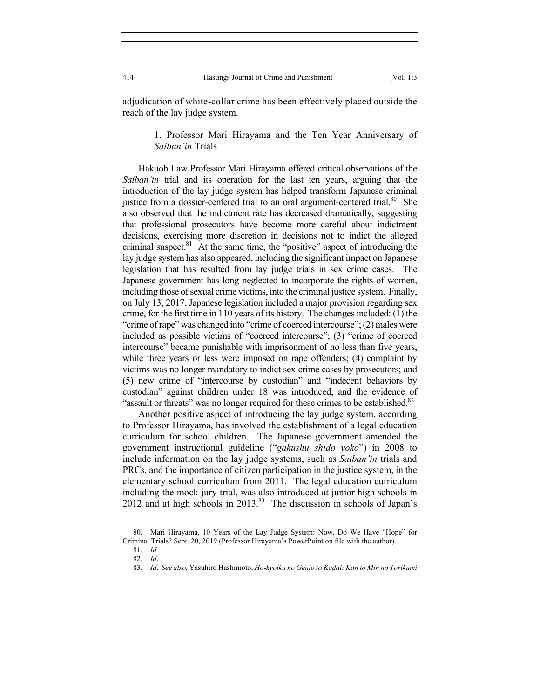adjudication of white-collar crime has been effectively placed outside the reach of the lay judge system.

> 1. Professor Mari Hirayama and the Ten Year Anniversary of *Saiban'in* Trials

Hakuoh Law Professor Mari Hirayama offered critical observations of the *Saiban'in* trial and its operation for the last ten years, arguing that the introduction of the lay judge system has helped transform Japanese criminal justice from a dossier-centered trial to an oral argument-centered trial.<sup>80</sup> She also observed that the indictment rate has decreased dramatically, suggesting that professional prosecutors have become more careful about indictment decisions, exercising more discretion in decisions not to indict the alleged criminal suspect. $81$  At the same time, the "positive" aspect of introducing the lay judge system has also appeared, including the significant impact on Japanese legislation that has resulted from lay judge trials in sex crime cases. The Japanese government has long neglected to incorporate the rights of women, including those of sexual crime victims, into the criminal justice system. Finally, on July 13, 2017, Japanese legislation included a major provision regarding sex crime, for the first time in 110 years of its history. The changes included: (1) the "crime of rape" was changed into "crime of coerced intercourse"; (2) males were included as possible victims of "coerced intercourse"; (3) "crime of coerced intercourse" became punishable with imprisonment of no less than five years, while three years or less were imposed on rape offenders; (4) complaint by victims was no longer mandatory to indict sex crime cases by prosecutors; and (5) new crime of "intercourse by custodian" and "indecent behaviors by custodian" against children under 18 was introduced, and the evidence of "assault or threats" was no longer required for these crimes to be established.<sup>82</sup>

Another positive aspect of introducing the lay judge system, according to Professor Hirayama, has involved the establishment of a legal education curriculum for school children. The Japanese government amended the government instructional guideline ("*gakushu shido yoko*") in 2008 to include information on the lay judge systems, such as *Saiban'in* trials and PRCs, and the importance of citizen participation in the justice system, in the elementary school curriculum from 2011. The legal education curriculum including the mock jury trial, was also introduced at junior high schools in 2012 and at high schools in  $2013$ .<sup>83</sup> The discussion in schools of Japan's

 <sup>80.</sup> Mari Hirayama, 10 Years of the Lay Judge System: Now, Do We Have "Hope" for Criminal Trials? Sept. 20, 2019 (Professor Hirayama's PowerPoint on file with the author).

 <sup>81.</sup> *Id.*

 <sup>82.</sup> *Id*.

 <sup>83.</sup> *Id*. *See also,* Yasuhiro Hashimoto, *Ho-kyoiku no Genjo to Kadai: Kan to Min no Torikumi*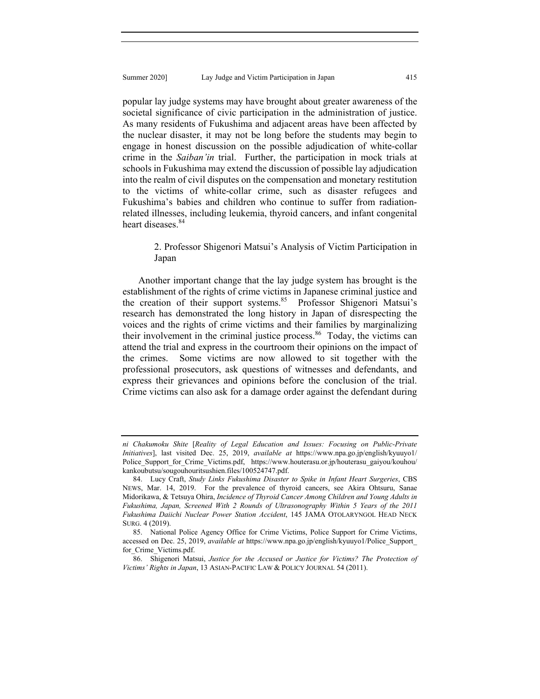popular lay judge systems may have brought about greater awareness of the societal significance of civic participation in the administration of justice. As many residents of Fukushima and adjacent areas have been affected by the nuclear disaster, it may not be long before the students may begin to engage in honest discussion on the possible adjudication of white-collar crime in the *Saiban'in* trial. Further, the participation in mock trials at schools in Fukushima may extend the discussion of possible lay adjudication into the realm of civil disputes on the compensation and monetary restitution to the victims of white-collar crime, such as disaster refugees and Fukushima's babies and children who continue to suffer from radiationrelated illnesses, including leukemia, thyroid cancers, and infant congenital heart diseases.<sup>84</sup>

## 2. Professor Shigenori Matsui's Analysis of Victim Participation in Japan

Another important change that the lay judge system has brought is the establishment of the rights of crime victims in Japanese criminal justice and the creation of their support systems.<sup>85</sup> Professor Shigenori Matsui's research has demonstrated the long history in Japan of disrespecting the voices and the rights of crime victims and their families by marginalizing their involvement in the criminal justice process.<sup>86</sup> Today, the victims can attend the trial and express in the courtroom their opinions on the impact of the crimes. Some victims are now allowed to sit together with the professional prosecutors, ask questions of witnesses and defendants, and express their grievances and opinions before the conclusion of the trial. Crime victims can also ask for a damage order against the defendant during

*ni Chakumoku Shite* [*Reality of Legal Education and Issues: Focusing on Public-Private Initiatives*], last visited Dec. 25, 2019, *available at* https://www.npa.go.jp/english/kyuuyo1/ Police Support for Crime Victims.pdf, https://www.houterasu.or.jp/houterasu\_gaiyou/kouhou/ kankoubutsu/sougouhouritsushien.files/100524747.pdf.

 <sup>84.</sup> Lucy Craft, *Study Links Fukushima Disaster to Spike in Infant Heart Surgeries*, CBS NEWS, Mar. 14, 2019. For the prevalence of thyroid cancers, see Akira Ohtsuru, Sanae Midorikawa, & Tetsuya Ohira, *Incidence of Thyroid Cancer Among Children and Young Adults in Fukushima, Japan, Screened With 2 Rounds of Ultrasonography Within 5 Years of the 2011 Fukushima Daiichi Nuclear Power Station Accident*, 145 JAMA OTOLARYNGOL HEAD NECK SURG. 4 (2019).

 <sup>85.</sup> National Police Agency Office for Crime Victims, Police Support for Crime Victims, accessed on Dec. 25, 2019, *available at* https://www.npa.go.jp/english/kyuuyo1/Police\_Support\_ for Crime Victims.pdf.

 <sup>86.</sup> Shigenori Matsui, *Justice for the Accused or Justice for Victims? The Protection of Victims' Rights in Japan*, 13 ASIAN-PACIFIC LAW & POLICY JOURNAL 54 (2011).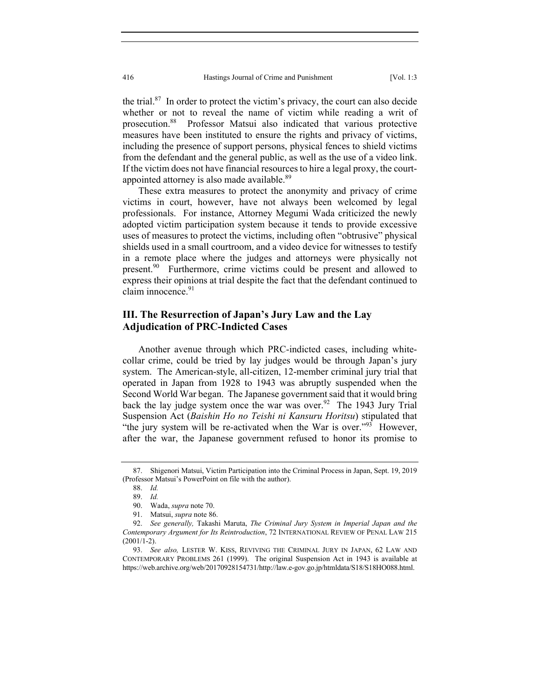the trial. $87$  In order to protect the victim's privacy, the court can also decide whether or not to reveal the name of victim while reading a writ of prosecution.88 Professor Matsui also indicated that various protective measures have been instituted to ensure the rights and privacy of victims, including the presence of support persons, physical fences to shield victims from the defendant and the general public, as well as the use of a video link. If the victim does not have financial resources to hire a legal proxy, the courtappointed attorney is also made available.<sup>89</sup>

These extra measures to protect the anonymity and privacy of crime victims in court, however, have not always been welcomed by legal professionals. For instance, Attorney Megumi Wada criticized the newly adopted victim participation system because it tends to provide excessive uses of measures to protect the victims, including often "obtrusive" physical shields used in a small courtroom, and a video device for witnesses to testify in a remote place where the judges and attorneys were physically not present.<sup>90</sup> Furthermore, crime victims could be present and allowed to express their opinions at trial despite the fact that the defendant continued to claim innocence.<sup>91</sup>

# **III. The Resurrection of Japan's Jury Law and the Lay Adjudication of PRC-Indicted Cases**

Another avenue through which PRC-indicted cases, including whitecollar crime, could be tried by lay judges would be through Japan's jury system. The American-style, all-citizen, 12-member criminal jury trial that operated in Japan from 1928 to 1943 was abruptly suspended when the Second World War began. The Japanese government said that it would bring back the lay judge system once the war was over.<sup>92</sup> The 1943 Jury Trial Suspension Act (*Baishin Ho no Teishi ni Kansuru Horitsu*) stipulated that "the jury system will be re-activated when the War is over."<sup>93</sup> However, after the war, the Japanese government refused to honor its promise to

 <sup>87.</sup> Shigenori Matsui, Victim Participation into the Criminal Process in Japan, Sept. 19, 2019 (Professor Matsui's PowerPoint on file with the author).

 <sup>88.</sup> *Id.*

 <sup>89.</sup> *Id.*

 <sup>90.</sup> Wada, *supra* note 70.

 <sup>91.</sup> Matsui, *supra* note 86.

 <sup>92.</sup> *See generally,* Takashi Maruta, *The Criminal Jury System in Imperial Japan and the Contemporary Argument for Its Reintroduction*, 72 INTERNATIONAL REVIEW OF PENAL LAW 215  $(2001/1-2)$ .

 <sup>93.</sup> *See also,* LESTER W. KISS, REVIVING THE CRIMINAL JURY IN JAPAN, 62 LAW AND CONTEMPORARY PROBLEMS 261 (1999). The original Suspension Act in 1943 is available at https://web.archive.org/web/20170928154731/http://law.e-gov.go.jp/htmldata/S18/S18HO088.html.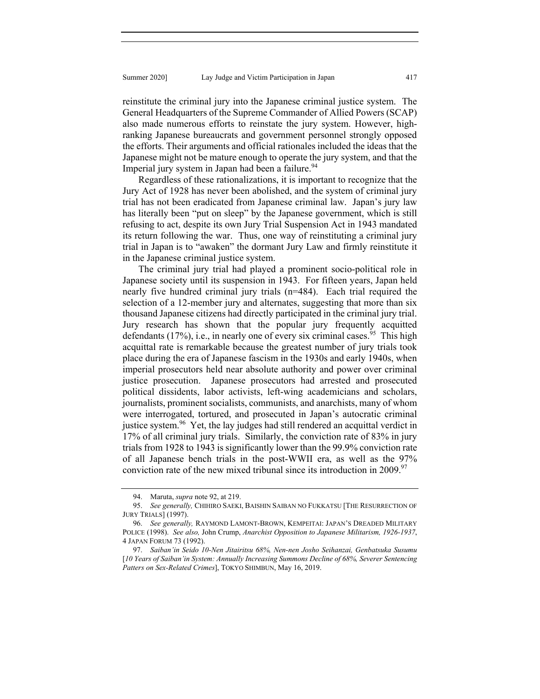reinstitute the criminal jury into the Japanese criminal justice system. The General Headquarters of the Supreme Commander of Allied Powers (SCAP) also made numerous efforts to reinstate the jury system. However, highranking Japanese bureaucrats and government personnel strongly opposed the efforts. Their arguments and official rationales included the ideas that the Japanese might not be mature enough to operate the jury system, and that the Imperial jury system in Japan had been a failure.<sup>94</sup>

Regardless of these rationalizations, it is important to recognize that the Jury Act of 1928 has never been abolished, and the system of criminal jury trial has not been eradicated from Japanese criminal law. Japan's jury law has literally been "put on sleep" by the Japanese government, which is still refusing to act, despite its own Jury Trial Suspension Act in 1943 mandated its return following the war. Thus, one way of reinstituting a criminal jury trial in Japan is to "awaken" the dormant Jury Law and firmly reinstitute it in the Japanese criminal justice system.

The criminal jury trial had played a prominent socio-political role in Japanese society until its suspension in 1943. For fifteen years, Japan held nearly five hundred criminal jury trials (n=484). Each trial required the selection of a 12-member jury and alternates, suggesting that more than six thousand Japanese citizens had directly participated in the criminal jury trial. Jury research has shown that the popular jury frequently acquitted defendants (17%), i.e., in nearly one of every six criminal cases.<sup>95</sup> This high acquittal rate is remarkable because the greatest number of jury trials took place during the era of Japanese fascism in the 1930s and early 1940s, when imperial prosecutors held near absolute authority and power over criminal justice prosecution. Japanese prosecutors had arrested and prosecuted political dissidents, labor activists, left-wing academicians and scholars, journalists, prominent socialists, communists, and anarchists, many of whom were interrogated, tortured, and prosecuted in Japan's autocratic criminal justice system.<sup>96</sup> Yet, the lay judges had still rendered an acquittal verdict in 17% of all criminal jury trials. Similarly, the conviction rate of 83% in jury trials from 1928 to 1943 is significantly lower than the 99.9% conviction rate of all Japanese bench trials in the post-WWII era, as well as the 97% conviction rate of the new mixed tribunal since its introduction in 2009.<sup>97</sup>

 <sup>94.</sup> Maruta, *supra* note 92, at 219.

 <sup>95.</sup> *See generally,* CHIHIRO SAEKI, BAISHIN SAIBAN NO FUKKATSU [THE RESURRECTION OF JURY TRIALS] (1997).

 <sup>96.</sup> *See generally,* RAYMOND LAMONT-BROWN, KEMPEITAI: JAPAN'S DREADED MILITARY POLICE (1998). *See also,* John Crump, *Anarchist Opposition to Japanese Militarism, 1926-1937*, 4 JAPAN FORUM 73 (1992).

 <sup>97.</sup> *Saiban'in Seido 10-Nen Jitairitsu 68%, Nen-nen Josho Seihanzai, Genbatsuka Susumu*  [*10 Years of Saiban'in System: Annually Increasing Summons Decline of 68%, Severer Sentencing Patters on Sex-Related Crimes*], TOKYO SHIMBUN, May 16, 2019.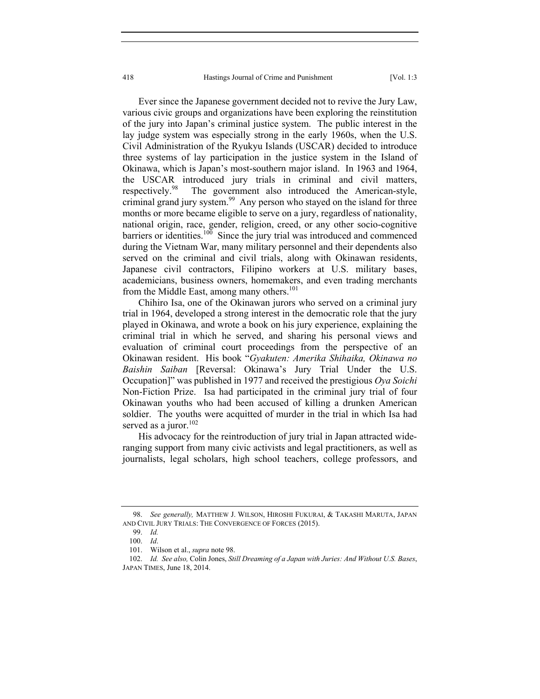Ever since the Japanese government decided not to revive the Jury Law, various civic groups and organizations have been exploring the reinstitution of the jury into Japan's criminal justice system. The public interest in the lay judge system was especially strong in the early 1960s, when the U.S. Civil Administration of the Ryukyu Islands (USCAR) decided to introduce three systems of lay participation in the justice system in the Island of Okinawa, which is Japan's most-southern major island. In 1963 and 1964, the USCAR introduced jury trials in criminal and civil matters, respectively.<sup>98</sup> The government also introduced the American-style, criminal grand jury system.<sup>99</sup> Any person who stayed on the island for three months or more became eligible to serve on a jury, regardless of nationality, national origin, race, gender, religion, creed, or any other socio-cognitive barriers or identities.<sup>100</sup> Since the jury trial was introduced and commenced during the Vietnam War, many military personnel and their dependents also served on the criminal and civil trials, along with Okinawan residents, Japanese civil contractors, Filipino workers at U.S. military bases, academicians, business owners, homemakers, and even trading merchants from the Middle East, among many others.<sup>101</sup>

Chihiro Isa, one of the Okinawan jurors who served on a criminal jury trial in 1964, developed a strong interest in the democratic role that the jury played in Okinawa, and wrote a book on his jury experience, explaining the criminal trial in which he served, and sharing his personal views and evaluation of criminal court proceedings from the perspective of an Okinawan resident. His book "*Gyakuten: Amerika Shihaika, Okinawa no Baishin Saiban* [Reversal: Okinawa's Jury Trial Under the U.S. Occupation]" was published in 1977 and received the prestigious *Oya Soichi* Non-Fiction Prize. Isa had participated in the criminal jury trial of four Okinawan youths who had been accused of killing a drunken American soldier. The youths were acquitted of murder in the trial in which Isa had served as a juror. $102$ 

His advocacy for the reintroduction of jury trial in Japan attracted wideranging support from many civic activists and legal practitioners, as well as journalists, legal scholars, high school teachers, college professors, and

 <sup>98.</sup> *See generally,* MATTHEW J. WILSON, HIROSHI FUKURAI, & TAKASHI MARUTA, JAPAN AND CIVIL JURY TRIALS: THE CONVERGENCE OF FORCES (2015).

 <sup>99.</sup> *Id.*

 <sup>100.</sup> *Id*.

 <sup>101.</sup> Wilson et al., *supra* note 98.

 <sup>102.</sup> *Id. See also,* Colin Jones, *Still Dreaming of a Japan with Juries: And Without U.S. Bases*, JAPAN TIMES, June 18, 2014.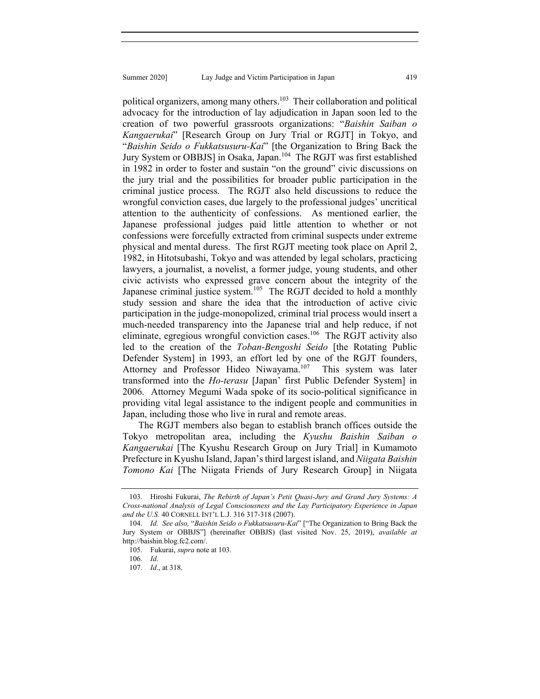political organizers, among many others.<sup>103</sup> Their collaboration and political advocacy for the introduction of lay adjudication in Japan soon led to the creation of two powerful grassroots organizations: "*Baishin Saiban o Kangaerukai*" [Research Group on Jury Trial or RGJT] in Tokyo, and "*Baishin Seido o Fukkatsusuru-Kai*" [the Organization to Bring Back the Jury System or OBBJS] in Osaka, Japan.<sup>104</sup> The RGJT was first established in 1982 in order to foster and sustain "on the ground" civic discussions on the jury trial and the possibilities for broader public participation in the criminal justice process. The RGJT also held discussions to reduce the wrongful conviction cases, due largely to the professional judges' uncritical attention to the authenticity of confessions. As mentioned earlier, the Japanese professional judges paid little attention to whether or not confessions were forcefully extracted from criminal suspects under extreme physical and mental duress. The first RGJT meeting took place on April 2, 1982, in Hitotsubashi, Tokyo and was attended by legal scholars, practicing lawyers, a journalist, a novelist, a former judge, young students, and other civic activists who expressed grave concern about the integrity of the Japanese criminal justice system.<sup>105</sup> The RGJT decided to hold a monthly study session and share the idea that the introduction of active civic participation in the judge-monopolized, criminal trial process would insert a much-needed transparency into the Japanese trial and help reduce, if not eliminate, egregious wrongful conviction cases.<sup>106</sup> The RGJT activity also led to the creation of the *Toban-Bengoshi Seido* [the Rotating Public Defender System] in 1993, an effort led by one of the RGJT founders, Attorney and Professor Hideo Niwayama.<sup>107</sup> This system was later transformed into the *Ho-terasu* [Japan' first Public Defender System] in 2006. Attorney Megumi Wada spoke of its socio-political significance in providing vital legal assistance to the indigent people and communities in Japan, including those who live in rural and remote areas.

The RGJT members also began to establish branch offices outside the Tokyo metropolitan area, including the *Kyushu Baishin Saiban o Kangaerukai* [The Kyushu Research Group on Jury Trial] in Kumamoto Prefecture in Kyushu Island, Japan's third largest island, and *Niigata Baishin Tomono Kai* [The Niigata Friends of Jury Research Group] in Niigata

 <sup>103.</sup> Hiroshi Fukurai, *The Rebirth of Japan's Petit Quasi-Jury and Grand Jury Systems: A Cross-national Analysis of Legal Consciousness and the Lay Participatory Experience in Japan and the U.S.* 40 CORNELL INT'L L.J. 316 317-318 (2007).

 <sup>104.</sup> *Id. See also,* "*Baishin Seido o Fukkatsusuru-Kai*" ["The Organization to Bring Back the Jury System or OBBJS"] (hereinafter OBBJS) (last visited Nov. 25, 2019), *available at*  http://baishin.blog.fc2.com/.

 <sup>105.</sup> Fukurai, *supra* note at 103.

 <sup>106.</sup> *Id*.

 <sup>107.</sup> *Id*., at 318.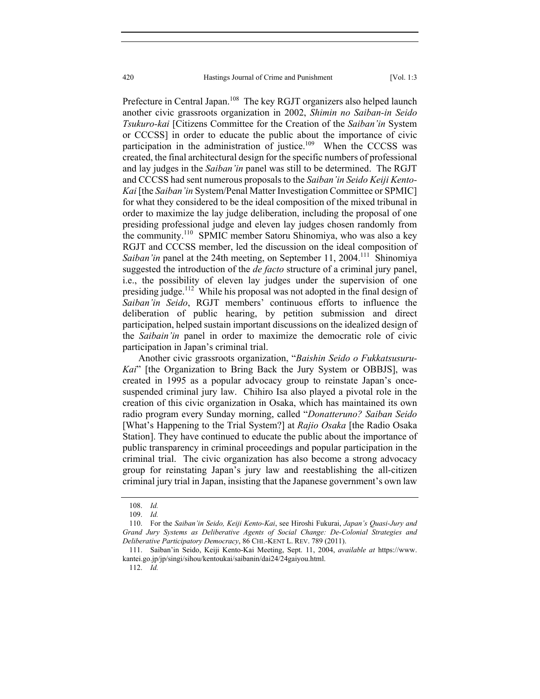Prefecture in Central Japan.<sup>108</sup> The key RGJT organizers also helped launch another civic grassroots organization in 2002, *Shimin no Saiban-in Seido Tsukuro-kai* [Citizens Committee for the Creation of the *Saiban'in* System or CCCSS] in order to educate the public about the importance of civic participation in the administration of justice.<sup>109</sup> When the CCCSS was created, the final architectural design for the specific numbers of professional and lay judges in the *Saiban'in* panel was still to be determined. The RGJT and CCCSS had sent numerous proposals to the *Saiban'in Seido Keiji Kento-Kai* [the *Saiban'in* System/Penal Matter Investigation Committee or SPMIC] for what they considered to be the ideal composition of the mixed tribunal in order to maximize the lay judge deliberation, including the proposal of one presiding professional judge and eleven lay judges chosen randomly from the community.<sup>110</sup> SPMIC member Satoru Shinomiya, who was also a key RGJT and CCCSS member, led the discussion on the ideal composition of *Saiban'in* panel at the 24th meeting, on September 11, 2004.<sup>111</sup> Shinomiya suggested the introduction of the *de facto* structure of a criminal jury panel, i.e., the possibility of eleven lay judges under the supervision of one presiding judge.<sup>112</sup> While his proposal was not adopted in the final design of *Saiban'in Seido*, RGJT members' continuous efforts to influence the deliberation of public hearing, by petition submission and direct participation, helped sustain important discussions on the idealized design of the *Saibain'in* panel in order to maximize the democratic role of civic participation in Japan's criminal trial.

Another civic grassroots organization, "*Baishin Seido o Fukkatsusuru-Kai*" [the Organization to Bring Back the Jury System or OBBJS], was created in 1995 as a popular advocacy group to reinstate Japan's oncesuspended criminal jury law. Chihiro Isa also played a pivotal role in the creation of this civic organization in Osaka, which has maintained its own radio program every Sunday morning, called "*Donatteruno? Saiban Seido* [What's Happening to the Trial System?] at *Rajio Osaka* [the Radio Osaka Station]. They have continued to educate the public about the importance of public transparency in criminal proceedings and popular participation in the criminal trial. The civic organization has also become a strong advocacy group for reinstating Japan's jury law and reestablishing the all-citizen criminal jury trial in Japan, insisting that the Japanese government's own law

112. *Id.*

 <sup>108.</sup> *Id.*

 <sup>109.</sup> *Id.*

 <sup>110.</sup> For the *Saiban'in Seido, Keiji Kento-Kai*, see Hiroshi Fukurai, *Japan's Quasi-Jury and Grand Jury Systems as Deliberative Agents of Social Change: De-Colonial Strategies and Deliberative Participatory Democracy*, 86 CHI.-KENT L. REV. 789 (2011).

 <sup>111.</sup> Saiban'in Seido, Keiji Kento-Kai Meeting, Sept. 11, 2004, *available at* https://www. kantei.go.jp/jp/singi/sihou/kentoukai/saibanin/dai24/24gaiyou.html.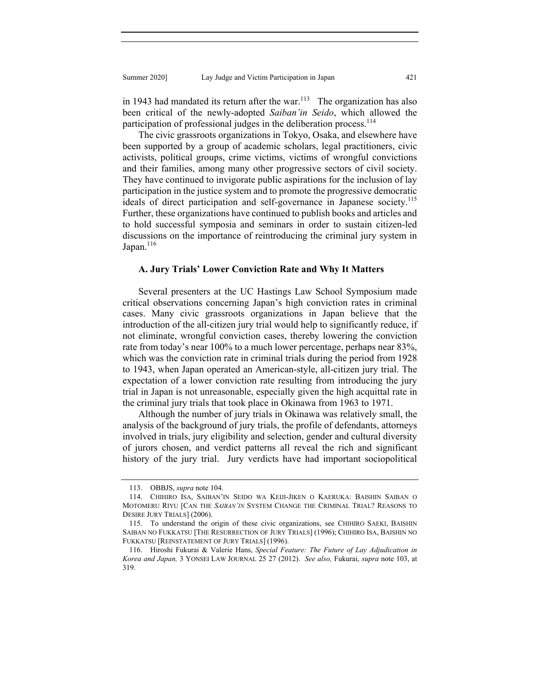in 1943 had mandated its return after the war.<sup>113</sup> The organization has also been critical of the newly-adopted *Saiban'in Seido*, which allowed the participation of professional judges in the deliberation process.<sup>114</sup>

The civic grassroots organizations in Tokyo, Osaka, and elsewhere have been supported by a group of academic scholars, legal practitioners, civic activists, political groups, crime victims, victims of wrongful convictions and their families, among many other progressive sectors of civil society. They have continued to invigorate public aspirations for the inclusion of lay participation in the justice system and to promote the progressive democratic ideals of direct participation and self-governance in Japanese society.<sup>115</sup> Further, these organizations have continued to publish books and articles and to hold successful symposia and seminars in order to sustain citizen-led discussions on the importance of reintroducing the criminal jury system in Japan. $116$ 

#### **A. Jury Trials' Lower Conviction Rate and Why It Matters**

Several presenters at the UC Hastings Law School Symposium made critical observations concerning Japan's high conviction rates in criminal cases. Many civic grassroots organizations in Japan believe that the introduction of the all-citizen jury trial would help to significantly reduce, if not eliminate, wrongful conviction cases, thereby lowering the conviction rate from today's near 100% to a much lower percentage, perhaps near 83%, which was the conviction rate in criminal trials during the period from 1928 to 1943, when Japan operated an American-style, all-citizen jury trial. The expectation of a lower conviction rate resulting from introducing the jury trial in Japan is not unreasonable, especially given the high acquittal rate in the criminal jury trials that took place in Okinawa from 1963 to 1971.

Although the number of jury trials in Okinawa was relatively small, the analysis of the background of jury trials, the profile of defendants, attorneys involved in trials, jury eligibility and selection, gender and cultural diversity of jurors chosen, and verdict patterns all reveal the rich and significant history of the jury trial. Jury verdicts have had important sociopolitical

 <sup>113.</sup> OBBJS, *supra* note 104.

 <sup>114.</sup> CHIHIRO ISA, SAIBAN'IN SEIDO WA KEIJI-JIKEN O KAERUKA: BAISHIN SAIBAN O MOTOMERU RIYU [CAN THE *SAIBAN'IN* SYSTEM CHANGE THE CRIMINAL TRIAL? REASONS TO DESIRE JURY TRIALS] (2006).

 <sup>115.</sup> To understand the origin of these civic organizations, see CHIHIRO SAEKI, BAISHIN SAIBAN NO FUKKATSU [THE RESURRECTION OF JURY TRIALS] (1996); CHIHIRO ISA, BAISHIN NO FUKKATSU [REINSTATEMENT OF JURY TRIALS] (1996).

 <sup>116.</sup> Hiroshi Fukurai & Valerie Hans, *Special Feature: The Future of Lay Adjudication in Korea and Japan,* 3 YONSEI LAW JOURNAL 25 27 (2012). *See also,* Fukurai, *supra* note 103, at 319.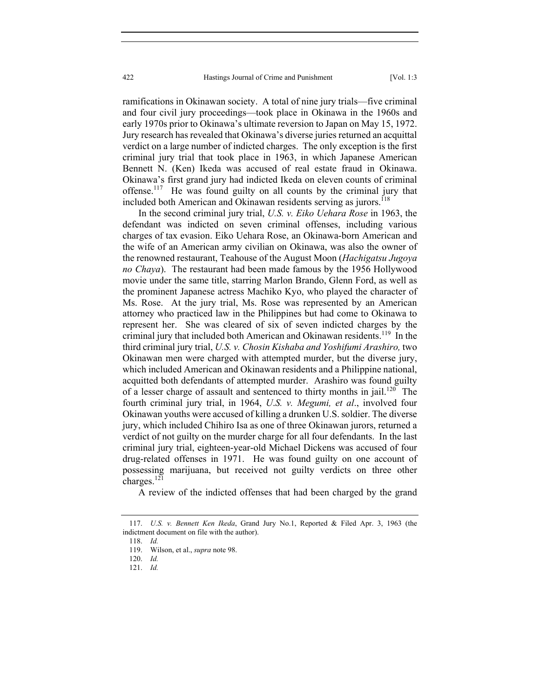ramifications in Okinawan society. A total of nine jury trials—five criminal and four civil jury proceedings—took place in Okinawa in the 1960s and early 1970s prior to Okinawa's ultimate reversion to Japan on May 15, 1972. Jury research has revealed that Okinawa's diverse juries returned an acquittal verdict on a large number of indicted charges. The only exception is the first criminal jury trial that took place in 1963, in which Japanese American Bennett N. (Ken) Ikeda was accused of real estate fraud in Okinawa. Okinawa's first grand jury had indicted Ikeda on eleven counts of criminal offense.117 He was found guilty on all counts by the criminal jury that included both American and Okinawan residents serving as jurors.<sup>118</sup>

In the second criminal jury trial, *U.S. v. Eiko Uehara Rose* in 1963, the defendant was indicted on seven criminal offenses, including various charges of tax evasion. Eiko Uehara Rose, an Okinawa-born American and the wife of an American army civilian on Okinawa, was also the owner of the renowned restaurant, Teahouse of the August Moon (*Hachigatsu Jugoya no Chaya*). The restaurant had been made famous by the 1956 Hollywood movie under the same title, starring Marlon Brando, Glenn Ford, as well as the prominent Japanese actress Machiko Kyo, who played the character of Ms. Rose. At the jury trial, Ms. Rose was represented by an American attorney who practiced law in the Philippines but had come to Okinawa to represent her. She was cleared of six of seven indicted charges by the criminal jury that included both American and Okinawan residents.<sup>119</sup> In the third criminal jury trial, *U.S. v. Chosin Kishaba and Yoshifumi Arashiro,* two Okinawan men were charged with attempted murder, but the diverse jury, which included American and Okinawan residents and a Philippine national, acquitted both defendants of attempted murder. Arashiro was found guilty of a lesser charge of assault and sentenced to thirty months in jail.<sup>120</sup> The fourth criminal jury trial, in 1964, *U*.*S. v. Megumi, et al*., involved four Okinawan youths were accused of killing a drunken U.S. soldier. The diverse jury, which included Chihiro Isa as one of three Okinawan jurors, returned a verdict of not guilty on the murder charge for all four defendants. In the last criminal jury trial, eighteen-year-old Michael Dickens was accused of four drug-related offenses in 1971. He was found guilty on one account of possessing marijuana, but received not guilty verdicts on three other charges. $^{121}$ 

A review of the indicted offenses that had been charged by the grand

 <sup>117.</sup> *U.S. v. Bennett Ken Ikeda*, Grand Jury No.1, Reported & Filed Apr. 3, 1963 (the indictment document on file with the author).

 <sup>118.</sup> *Id.*

 <sup>119.</sup> Wilson, et al., *supra* note 98.

 <sup>120.</sup> *Id.*

 <sup>121.</sup> *Id.*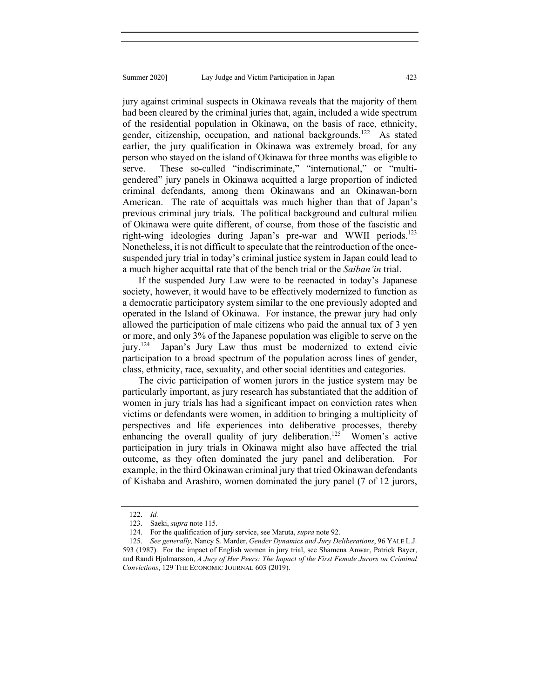jury against criminal suspects in Okinawa reveals that the majority of them had been cleared by the criminal juries that, again, included a wide spectrum of the residential population in Okinawa, on the basis of race, ethnicity, gender, citizenship, occupation, and national backgrounds.<sup>122</sup> As stated earlier, the jury qualification in Okinawa was extremely broad, for any person who stayed on the island of Okinawa for three months was eligible to serve. These so-called "indiscriminate," "international," or "multigendered" jury panels in Okinawa acquitted a large proportion of indicted criminal defendants, among them Okinawans and an Okinawan-born American. The rate of acquittals was much higher than that of Japan's previous criminal jury trials. The political background and cultural milieu of Okinawa were quite different, of course, from those of the fascistic and right-wing ideologies during Japan's pre-war and WWII periods.<sup>123</sup> Nonetheless, it is not difficult to speculate that the reintroduction of the oncesuspended jury trial in today's criminal justice system in Japan could lead to a much higher acquittal rate that of the bench trial or the *Saiban'in* trial.

If the suspended Jury Law were to be reenacted in today's Japanese society, however, it would have to be effectively modernized to function as a democratic participatory system similar to the one previously adopted and operated in the Island of Okinawa. For instance, the prewar jury had only allowed the participation of male citizens who paid the annual tax of 3 yen or more, and only 3% of the Japanese population was eligible to serve on the jury.<sup>124</sup> Japan's Jury Law thus must be modernized to extend civic participation to a broad spectrum of the population across lines of gender, class, ethnicity, race, sexuality, and other social identities and categories.

The civic participation of women jurors in the justice system may be particularly important, as jury research has substantiated that the addition of women in jury trials has had a significant impact on conviction rates when victims or defendants were women, in addition to bringing a multiplicity of perspectives and life experiences into deliberative processes, thereby enhancing the overall quality of jury deliberation.<sup>125</sup> Women's active participation in jury trials in Okinawa might also have affected the trial outcome, as they often dominated the jury panel and deliberation. For example, in the third Okinawan criminal jury that tried Okinawan defendants of Kishaba and Arashiro, women dominated the jury panel (7 of 12 jurors,

 <sup>122.</sup> *Id.*

 <sup>123.</sup> Saeki, *supra* note 115.

 <sup>124.</sup> For the qualification of jury service, see Maruta, *supra* note 92.

 <sup>125.</sup> *See generally,* Nancy S. Marder, *Gender Dynamics and Jury Deliberations*, 96 YALE L.J. 593 (1987). For the impact of English women in jury trial, see Shamena Anwar, Patrick Bayer, and Randi Hjalmarsson, *A Jury of Her Peers: The Impact of the First Female Jurors on Criminal Convictions*, 129 THE ECONOMIC JOURNAL 603 (2019).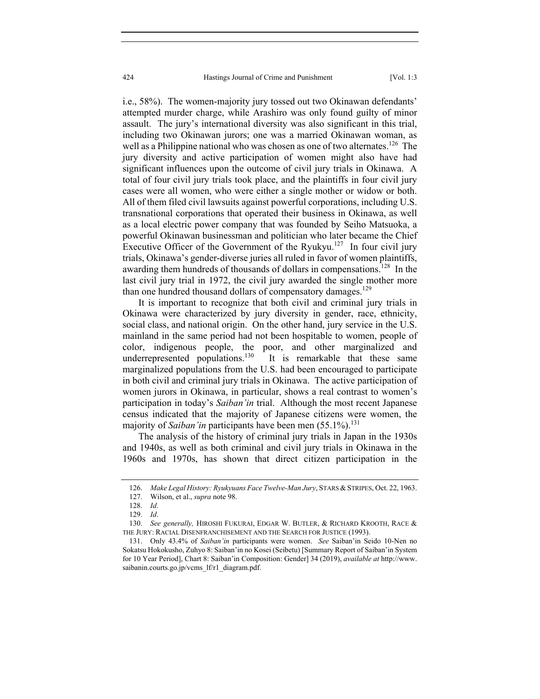i.e., 58%). The women-majority jury tossed out two Okinawan defendants' attempted murder charge, while Arashiro was only found guilty of minor assault. The jury's international diversity was also significant in this trial, including two Okinawan jurors; one was a married Okinawan woman, as well as a Philippine national who was chosen as one of two alternates.<sup>126</sup> The jury diversity and active participation of women might also have had significant influences upon the outcome of civil jury trials in Okinawa. A total of four civil jury trials took place, and the plaintiffs in four civil jury cases were all women, who were either a single mother or widow or both. All of them filed civil lawsuits against powerful corporations, including U.S. transnational corporations that operated their business in Okinawa, as well as a local electric power company that was founded by Seiho Matsuoka, a powerful Okinawan businessman and politician who later became the Chief Executive Officer of the Government of the Ryukyu.<sup>127</sup> In four civil jury trials, Okinawa's gender-diverse juries all ruled in favor of women plaintiffs, awarding them hundreds of thousands of dollars in compensations.<sup>128</sup> In the last civil jury trial in 1972, the civil jury awarded the single mother more than one hundred thousand dollars of compensatory damages.<sup>129</sup>

It is important to recognize that both civil and criminal jury trials in Okinawa were characterized by jury diversity in gender, race, ethnicity, social class, and national origin. On the other hand, jury service in the U.S. mainland in the same period had not been hospitable to women, people of color, indigenous people, the poor, and other marginalized and underrepresented populations.<sup>130</sup> It is remarkable that these same marginalized populations from the U.S. had been encouraged to participate in both civil and criminal jury trials in Okinawa. The active participation of women jurors in Okinawa, in particular, shows a real contrast to women's participation in today's *Saiban'in* trial. Although the most recent Japanese census indicated that the majority of Japanese citizens were women, the majority of *Saiban'in* participants have been men (55.1%).<sup>131</sup>

The analysis of the history of criminal jury trials in Japan in the 1930s and 1940s, as well as both criminal and civil jury trials in Okinawa in the 1960s and 1970s, has shown that direct citizen participation in the

<sup>126.</sup> Make Legal History: Ryukyuans Face Twelve-Man Jury, STARS & STRIPES, Oct. 22, 1963.

 <sup>127.</sup> Wilson, et al., *supra* note 98.

 <sup>128.</sup> *Id*.

 <sup>129.</sup> *Id*.

 <sup>130.</sup> *See generally,* HIROSHI FUKURAI, EDGAR W. BUTLER, & RICHARD KROOTH, RACE & THE JURY: RACIAL DISENFRANCHISEMENT AND THE SEARCH FOR JUSTICE (1993).

 <sup>131.</sup> Only 43.4% of *Saiban'in* participants were women. *See* Saiban'in Seido 10-Nen no Sokatsu Hokokusho, Zuhyo 8: Saiban'in no Kosei (Seibetu) [Summary Report of Saiban'in System for 10 Year Period], Chart 8: Saiban'in Composition: Gender] 34 (2019), *available at* http://www. saibanin.courts.go.jp/vcms lf/r1\_diagram.pdf.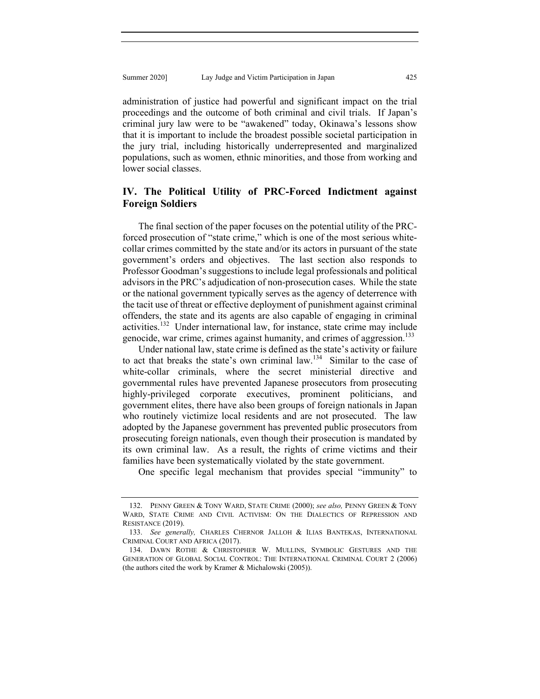administration of justice had powerful and significant impact on the trial proceedings and the outcome of both criminal and civil trials. If Japan's criminal jury law were to be "awakened" today, Okinawa's lessons show that it is important to include the broadest possible societal participation in the jury trial, including historically underrepresented and marginalized populations, such as women, ethnic minorities, and those from working and lower social classes.

# **IV. The Political Utility of PRC-Forced Indictment against Foreign Soldiers**

The final section of the paper focuses on the potential utility of the PRCforced prosecution of "state crime," which is one of the most serious whitecollar crimes committed by the state and/or its actors in pursuant of the state government's orders and objectives. The last section also responds to Professor Goodman's suggestions to include legal professionals and political advisors in the PRC's adjudication of non-prosecution cases. While the state or the national government typically serves as the agency of deterrence with the tacit use of threat or effective deployment of punishment against criminal offenders, the state and its agents are also capable of engaging in criminal activities.<sup>132</sup> Under international law, for instance, state crime may include genocide, war crime, crimes against humanity, and crimes of aggression.<sup>133</sup>

Under national law, state crime is defined as the state's activity or failure to act that breaks the state's own criminal law.<sup>134</sup> Similar to the case of white-collar criminals, where the secret ministerial directive and governmental rules have prevented Japanese prosecutors from prosecuting highly-privileged corporate executives, prominent politicians, and government elites, there have also been groups of foreign nationals in Japan who routinely victimize local residents and are not prosecuted. The law adopted by the Japanese government has prevented public prosecutors from prosecuting foreign nationals, even though their prosecution is mandated by its own criminal law. As a result, the rights of crime victims and their families have been systematically violated by the state government.

One specific legal mechanism that provides special "immunity" to

 <sup>132.</sup> PENNY GREEN & TONY WARD, STATE CRIME (2000); *see also,* PENNY GREEN & TONY WARD, STATE CRIME AND CIVIL ACTIVISM: ON THE DIALECTICS OF REPRESSION AND RESISTANCE (2019).

 <sup>133.</sup> *See generally,* CHARLES CHERNOR JALLOH & ILIAS BANTEKAS, INTERNATIONAL CRIMINAL COURT AND AFRICA (2017).

 <sup>134.</sup> DAWN ROTHE & CHRISTOPHER W. MULLINS, SYMBOLIC GESTURES AND THE GENERATION OF GLOBAL SOCIAL CONTROL: THE INTERNATIONAL CRIMINAL COURT 2 (2006) (the authors cited the work by Kramer & Michalowski (2005)).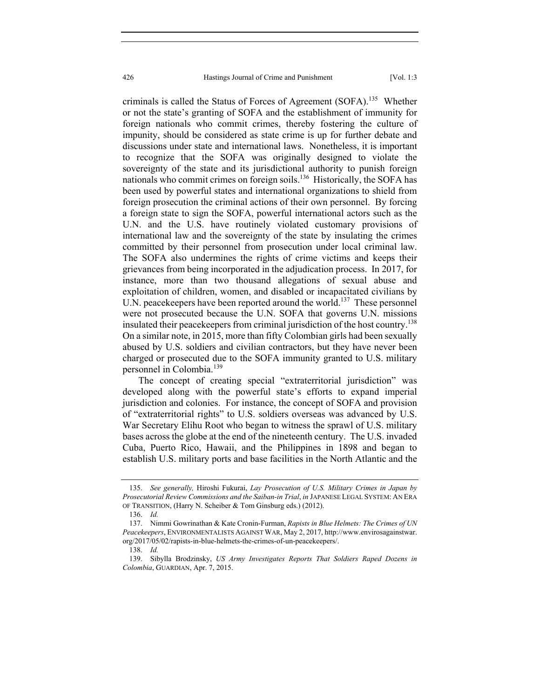criminals is called the Status of Forces of Agreement (SOFA).135 Whether or not the state's granting of SOFA and the establishment of immunity for foreign nationals who commit crimes, thereby fostering the culture of impunity, should be considered as state crime is up for further debate and discussions under state and international laws. Nonetheless, it is important to recognize that the SOFA was originally designed to violate the sovereignty of the state and its jurisdictional authority to punish foreign nationals who commit crimes on foreign soils.<sup>136</sup> Historically, the SOFA has been used by powerful states and international organizations to shield from foreign prosecution the criminal actions of their own personnel. By forcing a foreign state to sign the SOFA, powerful international actors such as the U.N. and the U.S. have routinely violated customary provisions of international law and the sovereignty of the state by insulating the crimes committed by their personnel from prosecution under local criminal law. The SOFA also undermines the rights of crime victims and keeps their grievances from being incorporated in the adjudication process. In 2017, for instance, more than two thousand allegations of sexual abuse and exploitation of children, women, and disabled or incapacitated civilians by U.N. peacekeepers have been reported around the world.<sup>137</sup> These personnel were not prosecuted because the U.N. SOFA that governs U.N. missions insulated their peacekeepers from criminal jurisdiction of the host country.<sup>138</sup> On a similar note, in 2015, more than fifty Colombian girls had been sexually abused by U.S. soldiers and civilian contractors, but they have never been charged or prosecuted due to the SOFA immunity granted to U.S. military personnel in Colombia.<sup>139</sup>

The concept of creating special "extraterritorial jurisdiction" was developed along with the powerful state's efforts to expand imperial jurisdiction and colonies. For instance, the concept of SOFA and provision of "extraterritorial rights" to U.S. soldiers overseas was advanced by U.S. War Secretary Elihu Root who began to witness the sprawl of U.S. military bases across the globe at the end of the nineteenth century. The U.S. invaded Cuba, Puerto Rico, Hawaii, and the Philippines in 1898 and began to establish U.S. military ports and base facilities in the North Atlantic and the

 <sup>135.</sup> *See generally,* Hiroshi Fukurai, *Lay Prosecution of U.S. Military Crimes in Japan by Prosecutorial Review Commissions and the Saiban-in Trial*, *in* JAPANESE LEGAL SYSTEM: AN ERA OF TRANSITION, (Harry N. Scheiber & Tom Ginsburg eds.) (2012).

 <sup>136.</sup> *Id.*

 <sup>137.</sup> Nimmi Gowrinathan & Kate Cronin-Furman, *Rapists in Blue Helmets: The Crimes of UN Peacekeepers*, ENVIRONMENTALISTS AGAINST WAR, May 2, 2017, http://www.envirosagainstwar. org/2017/05/02/rapists-in-blue-helmets-the-crimes-of-un-peacekeepers/.

 <sup>138.</sup> *Id.*

 <sup>139.</sup> Sibylla Brodzinsky, *US Army Investigates Reports That Soldiers Raped Dozens in Colombia*, GUARDIAN, Apr. 7, 2015.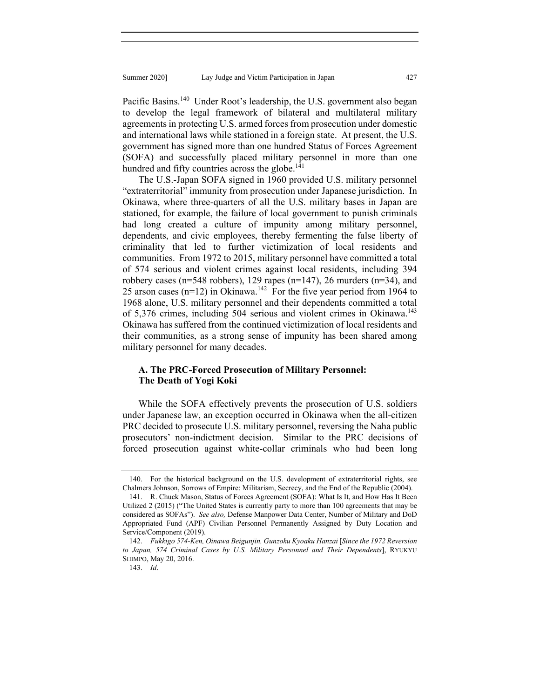Pacific Basins.<sup>140</sup> Under Root's leadership, the U.S. government also began to develop the legal framework of bilateral and multilateral military agreements in protecting U.S. armed forces from prosecution under domestic and international laws while stationed in a foreign state. At present, the U.S. government has signed more than one hundred Status of Forces Agreement (SOFA) and successfully placed military personnel in more than one hundred and fifty countries across the globe.<sup>141</sup>

The U.S.-Japan SOFA signed in 1960 provided U.S. military personnel "extraterritorial" immunity from prosecution under Japanese jurisdiction. In Okinawa, where three-quarters of all the U.S. military bases in Japan are stationed, for example, the failure of local government to punish criminals had long created a culture of impunity among military personnel, dependents, and civic employees, thereby fermenting the false liberty of criminality that led to further victimization of local residents and communities. From 1972 to 2015, military personnel have committed a total of 574 serious and violent crimes against local residents, including 394 robbery cases (n=548 robbers), 129 rapes (n=147), 26 murders (n=34), and 25 arson cases ( $n=12$ ) in Okinawa.<sup>142</sup> For the five year period from 1964 to 1968 alone, U.S. military personnel and their dependents committed a total of 5,376 crimes, including 504 serious and violent crimes in Okinawa.<sup>143</sup> Okinawa has suffered from the continued victimization of local residents and their communities, as a strong sense of impunity has been shared among military personnel for many decades.

# **A. The PRC-Forced Prosecution of Military Personnel: The Death of Yogi Koki**

While the SOFA effectively prevents the prosecution of U.S. soldiers under Japanese law, an exception occurred in Okinawa when the all-citizen PRC decided to prosecute U.S. military personnel, reversing the Naha public prosecutors' non-indictment decision. Similar to the PRC decisions of forced prosecution against white-collar criminals who had been long

 <sup>140.</sup> For the historical background on the U.S. development of extraterritorial rights, see Chalmers Johnson, Sorrows of Empire: Militarism, Secrecy, and the End of the Republic (2004).

 <sup>141.</sup> R. Chuck Mason, Status of Forces Agreement (SOFA): What Is It, and How Has It Been Utilized 2 (2015) ("The United States is currently party to more than 100 agreements that may be considered as SOFAs"). *See also,* Defense Manpower Data Center, Number of Military and DoD Appropriated Fund (APF) Civilian Personnel Permanently Assigned by Duty Location and Service/Component (2019).

 <sup>142.</sup> *Fukkigo 574-Ken, Oinawa Beigunjin, Gunzoku Kyoaku Hanzai* [*Since the 1972 Reversion to Japan, 574 Criminal Cases by U.S. Military Personnel and Their Dependents*], RYUKYU SHIMPO, May 20, 2016.

 <sup>143.</sup> *Id*.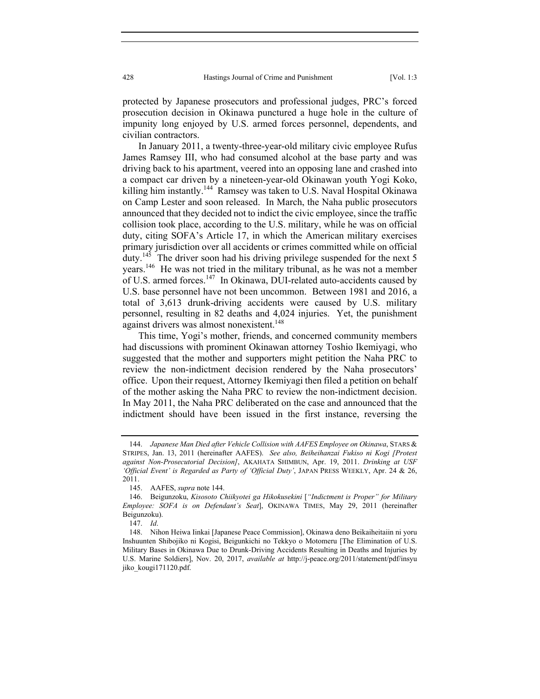protected by Japanese prosecutors and professional judges, PRC's forced prosecution decision in Okinawa punctured a huge hole in the culture of impunity long enjoyed by U.S. armed forces personnel, dependents, and civilian contractors.

In January 2011, a twenty-three-year-old military civic employee Rufus James Ramsey III, who had consumed alcohol at the base party and was driving back to his apartment, veered into an opposing lane and crashed into a compact car driven by a nineteen-year-old Okinawan youth Yogi Koko, killing him instantly.<sup>144</sup> Ramsey was taken to U.S. Naval Hospital Okinawa on Camp Lester and soon released. In March, the Naha public prosecutors announced that they decided not to indict the civic employee, since the traffic collision took place, according to the U.S. military, while he was on official duty, citing SOFA's Article 17, in which the American military exercises primary jurisdiction over all accidents or crimes committed while on official duty.<sup>145</sup> The driver soon had his driving privilege suspended for the next 5 years.<sup>146</sup> He was not tried in the military tribunal, as he was not a member of U.S. armed forces.<sup>147</sup> In Okinawa, DUI-related auto-accidents caused by U.S. base personnel have not been uncommon. Between 1981 and 2016, a total of 3,613 drunk-driving accidents were caused by U.S. military personnel, resulting in 82 deaths and 4,024 injuries. Yet, the punishment against drivers was almost nonexistent.<sup>148</sup>

This time, Yogi's mother, friends, and concerned community members had discussions with prominent Okinawan attorney Toshio Ikemiyagi, who suggested that the mother and supporters might petition the Naha PRC to review the non-indictment decision rendered by the Naha prosecutors' office. Upon their request, Attorney Ikemiyagi then filed a petition on behalf of the mother asking the Naha PRC to review the non-indictment decision. In May 2011, the Naha PRC deliberated on the case and announced that the indictment should have been issued in the first instance, reversing the

 <sup>144.</sup> *Japanese Man Died after Vehicle Collision with AAFES Employee on Okinawa*, STARS & STRIPES, Jan. 13, 2011 (hereinafter AAFES). *See also, Beiheihanzai Fukiso ni Kogi [Protest against Non-Prosecutorial Decision]*, AKAHATA SHIMBUN, Apr. 19, 2011. *Drinking at USF 'Official Event' is Regarded as Party of 'Official Duty'*, JAPAN PRESS WEEKLY, Apr. 24 & 26, 2011.

 <sup>145.</sup> AAFES, *supra* note 144.

 <sup>146.</sup> Beigunzoku, *Kisosoto Chiikyotei ga Hikokusekini* [*"Indictment is Proper" for Military Employee: SOFA is on Defendant's Seat*], OKINAWA TIMES, May 29, 2011 (hereinafter Beigunzoku).

 <sup>147.</sup> *Id*.

 <sup>148.</sup> Nihon Heiwa Iinkai [Japanese Peace Commission], Okinawa deno Beikaiheitaiin ni yoru Inshuunten Shibojiko ni Kogisi, Beigunkichi no Tekkyo o Motomeru [The Elimination of U.S. Military Bases in Okinawa Due to Drunk-Driving Accidents Resulting in Deaths and Injuries by U.S. Marine Soldiers], Nov. 20, 2017, *available at* http://j-peace.org/2011/statement/pdf/insyu jiko\_kougi171120.pdf.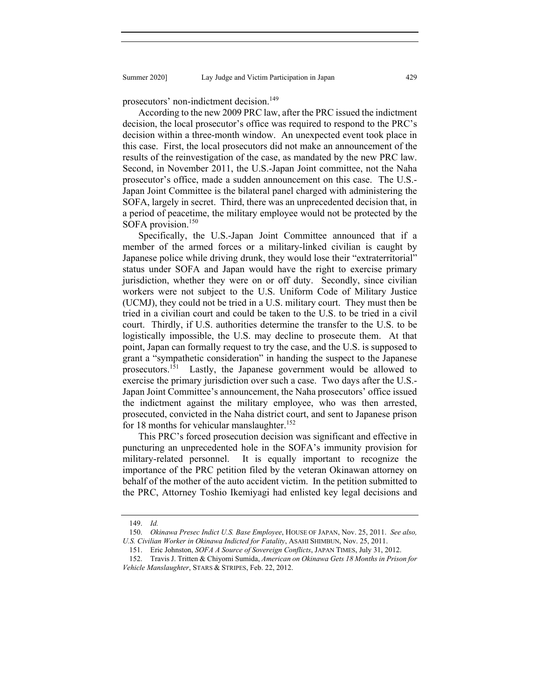prosecutors' non-indictment decision.<sup>149</sup>

According to the new 2009 PRC law, after the PRC issued the indictment decision, the local prosecutor's office was required to respond to the PRC's decision within a three-month window. An unexpected event took place in this case. First, the local prosecutors did not make an announcement of the results of the reinvestigation of the case, as mandated by the new PRC law. Second, in November 2011, the U.S.-Japan Joint committee, not the Naha prosecutor's office, made a sudden announcement on this case. The U.S.- Japan Joint Committee is the bilateral panel charged with administering the SOFA, largely in secret. Third, there was an unprecedented decision that, in a period of peacetime, the military employee would not be protected by the SOFA provision.<sup>150</sup>

Specifically, the U.S.-Japan Joint Committee announced that if a member of the armed forces or a military-linked civilian is caught by Japanese police while driving drunk, they would lose their "extraterritorial" status under SOFA and Japan would have the right to exercise primary jurisdiction, whether they were on or off duty. Secondly, since civilian workers were not subject to the U.S. Uniform Code of Military Justice (UCMJ), they could not be tried in a U.S. military court. They must then be tried in a civilian court and could be taken to the U.S. to be tried in a civil court. Thirdly, if U.S. authorities determine the transfer to the U.S. to be logistically impossible, the U.S. may decline to prosecute them. At that point, Japan can formally request to try the case, and the U.S. is supposed to grant a "sympathetic consideration" in handing the suspect to the Japanese prosecutors.<sup>151</sup> Lastly, the Japanese government would be allowed to exercise the primary jurisdiction over such a case. Two days after the U.S.- Japan Joint Committee's announcement, the Naha prosecutors' office issued the indictment against the military employee, who was then arrested, prosecuted, convicted in the Naha district court, and sent to Japanese prison for 18 months for vehicular manslaughter.<sup>152</sup>

This PRC's forced prosecution decision was significant and effective in puncturing an unprecedented hole in the SOFA's immunity provision for military-related personnel. It is equally important to recognize the importance of the PRC petition filed by the veteran Okinawan attorney on behalf of the mother of the auto accident victim. In the petition submitted to the PRC, Attorney Toshio Ikemiyagi had enlisted key legal decisions and

 <sup>149.</sup> *Id.*

 <sup>150.</sup> *Okinawa Presec Indict U.S. Base Employee*, HOUSE OF JAPAN, Nov. 25, 2011. *See also, U.S. Civilian Worker in Okinawa Indicted for Fatality*, ASAHI SHIMBUN, Nov. 25, 2011.

 <sup>151.</sup> Eric Johnston, *SOFA A Source of Sovereign Conflicts*, JAPAN TIMES, July 31, 2012.

 <sup>152.</sup> Travis J. Tritten & Chiyomi Sumida, *American on Okinawa Gets 18 Months in Prison for Vehicle Manslaughter*, STARS & STRIPES, Feb. 22, 2012.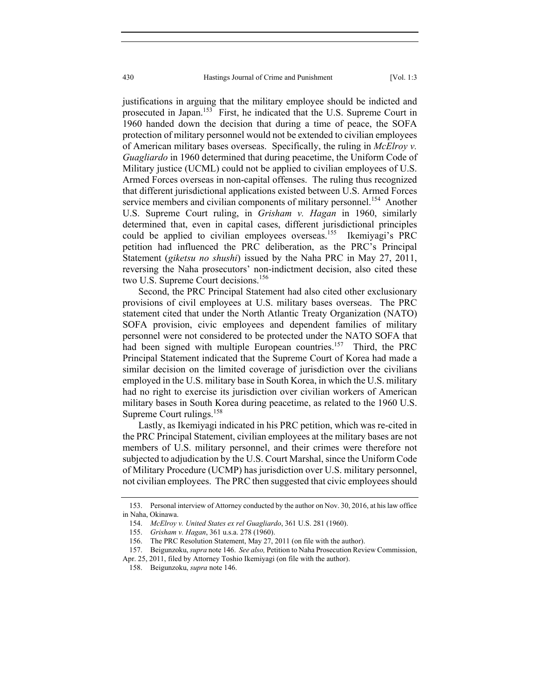justifications in arguing that the military employee should be indicted and prosecuted in Japan.<sup>153</sup> First, he indicated that the U.S. Supreme Court in 1960 handed down the decision that during a time of peace, the SOFA protection of military personnel would not be extended to civilian employees of American military bases overseas. Specifically, the ruling in *McElroy v. Guagliardo* in 1960 determined that during peacetime, the Uniform Code of Military justice (UCML) could not be applied to civilian employees of U.S. Armed Forces overseas in non-capital offenses. The ruling thus recognized that different jurisdictional applications existed between U.S. Armed Forces service members and civilian components of military personnel.<sup>154</sup> Another U.S. Supreme Court ruling, in *Grisham v. Hagan* in 1960, similarly determined that, even in capital cases, different jurisdictional principles could be applied to civilian employees overseas.<sup>155</sup> Ikemiyagi's PRC petition had influenced the PRC deliberation, as the PRC's Principal Statement (*giketsu no shushi*) issued by the Naha PRC in May 27, 2011, reversing the Naha prosecutors' non-indictment decision, also cited these two U.S. Supreme Court decisions.<sup>156</sup>

Second, the PRC Principal Statement had also cited other exclusionary provisions of civil employees at U.S. military bases overseas. The PRC statement cited that under the North Atlantic Treaty Organization (NATO) SOFA provision, civic employees and dependent families of military personnel were not considered to be protected under the NATO SOFA that had been signed with multiple European countries.<sup>157</sup> Third, the PRC Principal Statement indicated that the Supreme Court of Korea had made a similar decision on the limited coverage of jurisdiction over the civilians employed in the U.S. military base in South Korea, in which the U.S. military had no right to exercise its jurisdiction over civilian workers of American military bases in South Korea during peacetime, as related to the 1960 U.S. Supreme Court rulings.<sup>158</sup>

Lastly, as Ikemiyagi indicated in his PRC petition, which was re-cited in the PRC Principal Statement, civilian employees at the military bases are not members of U.S. military personnel, and their crimes were therefore not subjected to adjudication by the U.S. Court Marshal, since the Uniform Code of Military Procedure (UCMP) has jurisdiction over U.S. military personnel, not civilian employees. The PRC then suggested that civic employees should

 <sup>153.</sup> Personal interview of Attorney conducted by the author on Nov. 30, 2016, at his law office in Naha, Okinawa.

 <sup>154.</sup> *McElroy v. United States ex rel Guagliardo*, 361 U.S. 281 (1960).

 <sup>155.</sup> *Grisham v. Hagan*, 361 u.s.a. 278 (1960).

 <sup>156.</sup> The PRC Resolution Statement, May 27, 2011 (on file with the author).

 <sup>157.</sup> Beigunzoku, *supra* note 146. *See also,* Petition to Naha Prosecution Review Commission,

Apr. 25, 2011, filed by Attorney Toshio Ikemiyagi (on file with the author).

 <sup>158.</sup> Beigunzoku, *supra* note 146.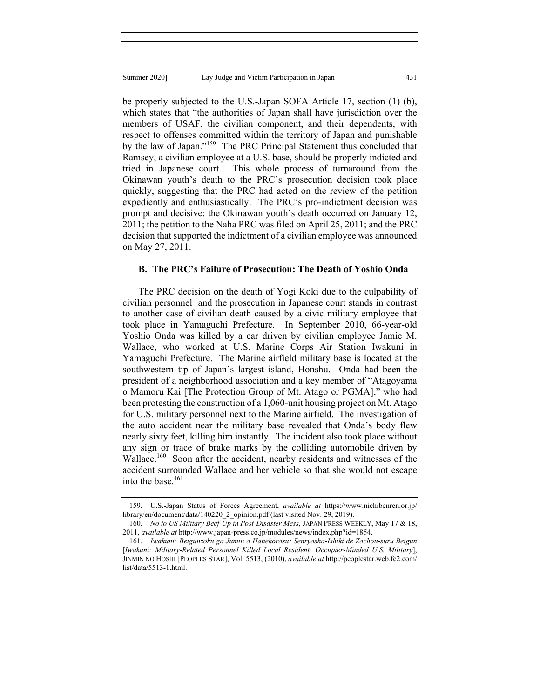be properly subjected to the U.S.-Japan SOFA Article 17, section (1) (b), which states that "the authorities of Japan shall have jurisdiction over the members of USAF, the civilian component, and their dependents, with respect to offenses committed within the territory of Japan and punishable by the law of Japan."159 The PRC Principal Statement thus concluded that Ramsey, a civilian employee at a U.S. base, should be properly indicted and tried in Japanese court. This whole process of turnaround from the Okinawan youth's death to the PRC's prosecution decision took place quickly, suggesting that the PRC had acted on the review of the petition expediently and enthusiastically. The PRC's pro-indictment decision was prompt and decisive: the Okinawan youth's death occurred on January 12, 2011; the petition to the Naha PRC was filed on April 25, 2011; and the PRC decision that supported the indictment of a civilian employee was announced on May 27, 2011.

## **B. The PRC's Failure of Prosecution: The Death of Yoshio Onda**

The PRC decision on the death of Yogi Koki due to the culpability of civilian personnel and the prosecution in Japanese court stands in contrast to another case of civilian death caused by a civic military employee that took place in Yamaguchi Prefecture. In September 2010, 66-year-old Yoshio Onda was killed by a car driven by civilian employee Jamie M. Wallace, who worked at U.S. Marine Corps Air Station Iwakuni in Yamaguchi Prefecture. The Marine airfield military base is located at the southwestern tip of Japan's largest island, Honshu. Onda had been the president of a neighborhood association and a key member of "Atagoyama o Mamoru Kai [The Protection Group of Mt. Atago or PGMA]," who had been protesting the construction of a 1,060-unit housing project on Mt. Atago for U.S. military personnel next to the Marine airfield. The investigation of the auto accident near the military base revealed that Onda's body flew nearly sixty feet, killing him instantly. The incident also took place without any sign or trace of brake marks by the colliding automobile driven by Wallace.<sup>160</sup> Soon after the accident, nearby residents and witnesses of the accident surrounded Wallace and her vehicle so that she would not escape into the base.<sup>161</sup>

 <sup>159.</sup> U.S.-Japan Status of Forces Agreement, *available at* https://www.nichibenren.or.jp/ library/en/document/data/140220\_2\_opinion.pdf (last visited Nov. 29, 2019).

 <sup>160.</sup> *No to US Military Beef-Up in Post-Disaster Mess*, JAPAN PRESS WEEKLY, May 17 & 18, 2011, *available at* http://www.japan-press.co.jp/modules/news/index.php?id=1854.

 <sup>161.</sup> *Iwakuni: Beigunzoku ga Jumin o Hanekorosu: Senryosha-Ishiki de Zochou-suru Beigun*  [*Iwakuni: Military-Related Personnel Killed Local Resident: Occupier-Minded U.S. Military*], JINMIN NO HOSHI [PEOPLES STAR], Vol. 5513, (2010), *available at* http://peoplestar.web.fc2.com/ list/data/5513-1.html.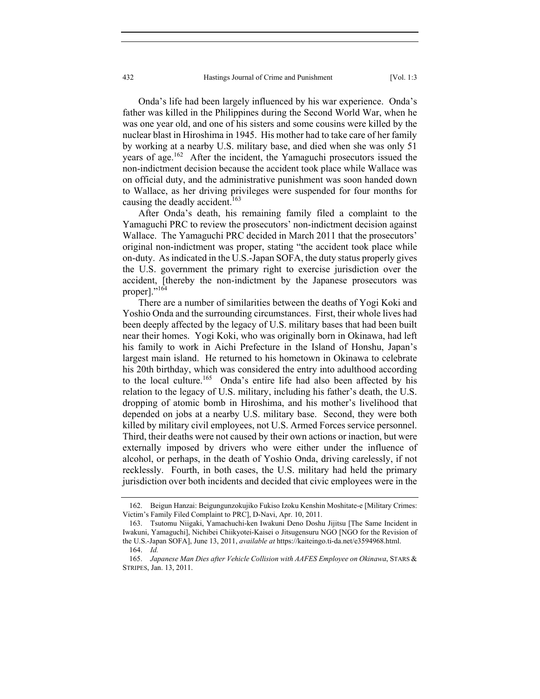Onda's life had been largely influenced by his war experience. Onda's father was killed in the Philippines during the Second World War, when he was one year old, and one of his sisters and some cousins were killed by the nuclear blast in Hiroshima in 1945. His mother had to take care of her family by working at a nearby U.S. military base, and died when she was only 51 years of age.<sup>162</sup> After the incident, the Yamaguchi prosecutors issued the non-indictment decision because the accident took place while Wallace was on official duty, and the administrative punishment was soon handed down to Wallace, as her driving privileges were suspended for four months for causing the deadly accident.<sup>163</sup>

After Onda's death, his remaining family filed a complaint to the Yamaguchi PRC to review the prosecutors' non-indictment decision against Wallace. The Yamaguchi PRC decided in March 2011 that the prosecutors' original non-indictment was proper, stating "the accident took place while on-duty. As indicated in the U.S.-Japan SOFA, the duty status properly gives the U.S. government the primary right to exercise jurisdiction over the accident, [thereby the non-indictment by the Japanese prosecutors was proper]."<sup>164</sup>

There are a number of similarities between the deaths of Yogi Koki and Yoshio Onda and the surrounding circumstances. First, their whole lives had been deeply affected by the legacy of U.S. military bases that had been built near their homes. Yogi Koki, who was originally born in Okinawa, had left his family to work in Aichi Prefecture in the Island of Honshu, Japan's largest main island. He returned to his hometown in Okinawa to celebrate his 20th birthday, which was considered the entry into adulthood according to the local culture.<sup>165</sup> Onda's entire life had also been affected by his relation to the legacy of U.S. military, including his father's death, the U.S. dropping of atomic bomb in Hiroshima, and his mother's livelihood that depended on jobs at a nearby U.S. military base. Second, they were both killed by military civil employees, not U.S. Armed Forces service personnel. Third, their deaths were not caused by their own actions or inaction, but were externally imposed by drivers who were either under the influence of alcohol, or perhaps, in the death of Yoshio Onda, driving carelessly, if not recklessly. Fourth, in both cases, the U.S. military had held the primary jurisdiction over both incidents and decided that civic employees were in the

 <sup>162.</sup> Beigun Hanzai: Beigungunzokujiko Fukiso Izoku Kenshin Moshitate-e [Military Crimes: Victim's Family Filed Complaint to PRC], D-Navi, Apr. 10, 2011.

 <sup>163.</sup> Tsutomu Niigaki, Yamachuchi-ken Iwakuni Deno Doshu Jijitsu [The Same Incident in Iwakuni, Yamaguchi], Nichibei Chiikyotei-Kaisei o Jitsugensuru NGO [NGO for the Revision of the U.S.-Japan SOFA], June 13, 2011, *available at* https://kaiteingo.ti-da.net/e3594968.html.

 <sup>164.</sup> *Id.*

 <sup>165.</sup> *Japanese Man Dies after Vehicle Collision with AAFES Employee on Okinawa*, STARS & STRIPES, Jan. 13, 2011.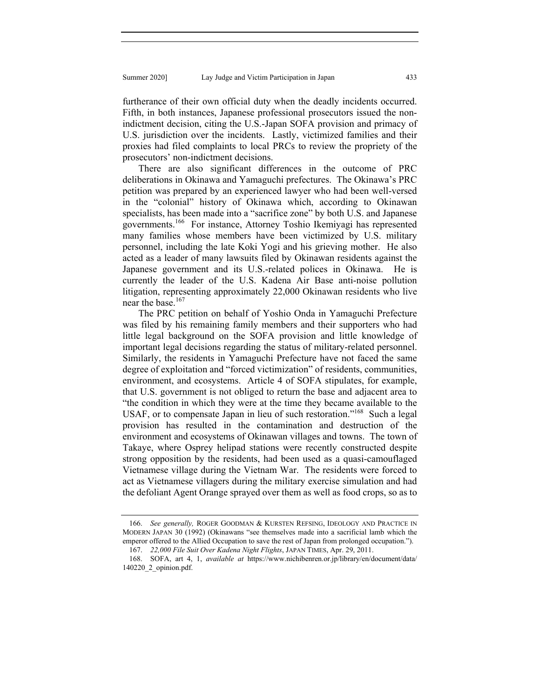furtherance of their own official duty when the deadly incidents occurred. Fifth, in both instances, Japanese professional prosecutors issued the nonindictment decision, citing the U.S.-Japan SOFA provision and primacy of U.S. jurisdiction over the incidents. Lastly, victimized families and their proxies had filed complaints to local PRCs to review the propriety of the prosecutors' non-indictment decisions.

There are also significant differences in the outcome of PRC deliberations in Okinawa and Yamaguchi prefectures. The Okinawa's PRC petition was prepared by an experienced lawyer who had been well-versed in the "colonial" history of Okinawa which, according to Okinawan specialists, has been made into a "sacrifice zone" by both U.S. and Japanese governments.166 For instance, Attorney Toshio Ikemiyagi has represented many families whose members have been victimized by U.S. military personnel, including the late Koki Yogi and his grieving mother. He also acted as a leader of many lawsuits filed by Okinawan residents against the Japanese government and its U.S.-related polices in Okinawa. He is currently the leader of the U.S. Kadena Air Base anti-noise pollution litigation, representing approximately 22,000 Okinawan residents who live near the base.<sup>167</sup>

The PRC petition on behalf of Yoshio Onda in Yamaguchi Prefecture was filed by his remaining family members and their supporters who had little legal background on the SOFA provision and little knowledge of important legal decisions regarding the status of military-related personnel. Similarly, the residents in Yamaguchi Prefecture have not faced the same degree of exploitation and "forced victimization" of residents, communities, environment, and ecosystems. Article 4 of SOFA stipulates, for example, that U.S. government is not obliged to return the base and adjacent area to "the condition in which they were at the time they became available to the USAF, or to compensate Japan in lieu of such restoration."<sup>168</sup> Such a legal provision has resulted in the contamination and destruction of the environment and ecosystems of Okinawan villages and towns. The town of Takaye, where Osprey helipad stations were recently constructed despite strong opposition by the residents, had been used as a quasi-camouflaged Vietnamese village during the Vietnam War. The residents were forced to act as Vietnamese villagers during the military exercise simulation and had the defoliant Agent Orange sprayed over them as well as food crops, so as to

 <sup>166.</sup> *See generally,* ROGER GOODMAN & KURSTEN REFSING, IDEOLOGY AND PRACTICE IN MODERN JAPAN 30 (1992) (Okinawans "see themselves made into a sacrificial lamb which the emperor offered to the Allied Occupation to save the rest of Japan from prolonged occupation.").

 <sup>167.</sup> *22,000 File Suit Over Kadena Night Flights*, JAPAN TIMES, Apr. 29, 2011.

 <sup>168.</sup> SOFA, art 4, 1, *available at* https://www.nichibenren.or.jp/library/en/document/data/ 140220\_2\_opinion.pdf.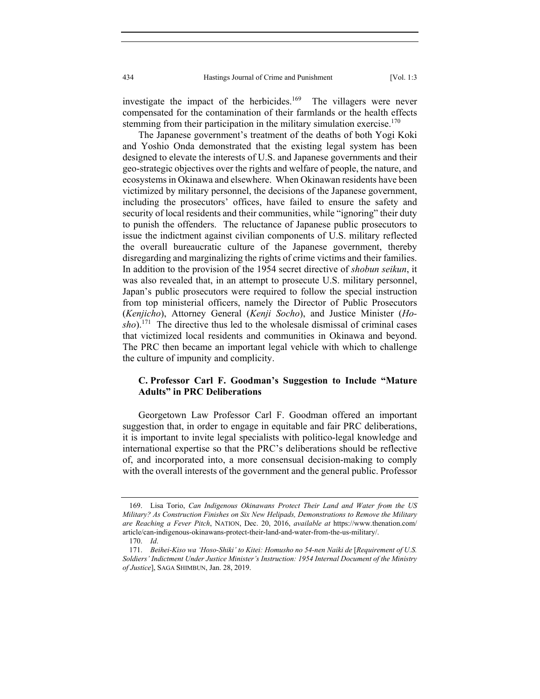investigate the impact of the herbicides.<sup>169</sup> The villagers were never compensated for the contamination of their farmlands or the health effects stemming from their participation in the military simulation exercise.<sup>170</sup>

The Japanese government's treatment of the deaths of both Yogi Koki and Yoshio Onda demonstrated that the existing legal system has been designed to elevate the interests of U.S. and Japanese governments and their geo-strategic objectives over the rights and welfare of people, the nature, and ecosystems in Okinawa and elsewhere. When Okinawan residents have been victimized by military personnel, the decisions of the Japanese government, including the prosecutors' offices, have failed to ensure the safety and security of local residents and their communities, while "ignoring" their duty to punish the offenders. The reluctance of Japanese public prosecutors to issue the indictment against civilian components of U.S. military reflected the overall bureaucratic culture of the Japanese government, thereby disregarding and marginalizing the rights of crime victims and their families. In addition to the provision of the 1954 secret directive of *shobun seikun*, it was also revealed that, in an attempt to prosecute U.S. military personnel, Japan's public prosecutors were required to follow the special instruction from top ministerial officers, namely the Director of Public Prosecutors (*Kenjicho*), Attorney General (*Kenji Socho*), and Justice Minister (*Hosho*).171 The directive thus led to the wholesale dismissal of criminal cases that victimized local residents and communities in Okinawa and beyond. The PRC then became an important legal vehicle with which to challenge the culture of impunity and complicity.

## **C. Professor Carl F. Goodman's Suggestion to Include "Mature Adults" in PRC Deliberations**

Georgetown Law Professor Carl F. Goodman offered an important suggestion that, in order to engage in equitable and fair PRC deliberations, it is important to invite legal specialists with politico-legal knowledge and international expertise so that the PRC's deliberations should be reflective of, and incorporated into, a more consensual decision-making to comply with the overall interests of the government and the general public. Professor

 <sup>169.</sup> Lisa Torio, *Can Indigenous Okinawans Protect Their Land and Water from the US Military? As Construction Finishes on Six New Helipads, Demonstrations to Remove the Military are Reaching a Fever Pitch*, NATION, Dec. 20, 2016, *available at* https://www.thenation.com/ article/can-indigenous-okinawans-protect-their-land-and-water-from-the-us-military/.

 <sup>170.</sup> *Id*.

<sup>171.</sup> *Beihei-Kiso wa 'Hoso-Shiki' to Kitei: Homusho no 54-nen Naiki de* [*Requirement of U.S. Soldiers' Indictment Under Justice Minister's Instruction: 1954 Internal Document of the Ministry of Justice*], SAGA SHIMBUN, Jan. 28, 2019.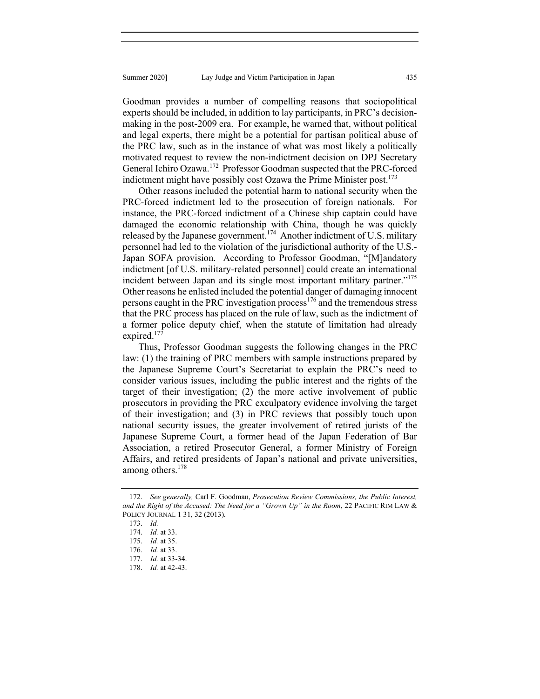Goodman provides a number of compelling reasons that sociopolitical experts should be included, in addition to lay participants, in PRC's decisionmaking in the post-2009 era. For example, he warned that, without political and legal experts, there might be a potential for partisan political abuse of the PRC law, such as in the instance of what was most likely a politically motivated request to review the non-indictment decision on DPJ Secretary General Ichiro Ozawa.<sup>172</sup> Professor Goodman suspected that the PRC-forced indictment might have possibly cost Ozawa the Prime Minister post.<sup>173</sup>

Other reasons included the potential harm to national security when the PRC-forced indictment led to the prosecution of foreign nationals. For instance, the PRC-forced indictment of a Chinese ship captain could have damaged the economic relationship with China, though he was quickly released by the Japanese government.<sup>174</sup> Another indictment of U.S. military personnel had led to the violation of the jurisdictional authority of the U.S.- Japan SOFA provision. According to Professor Goodman, "[M]andatory indictment [of U.S. military-related personnel] could create an international incident between Japan and its single most important military partner."<sup>175</sup> Other reasons he enlisted included the potential danger of damaging innocent persons caught in the PRC investigation process $176$  and the tremendous stress that the PRC process has placed on the rule of law, such as the indictment of a former police deputy chief, when the statute of limitation had already expired. $177$ 

Thus, Professor Goodman suggests the following changes in the PRC law: (1) the training of PRC members with sample instructions prepared by the Japanese Supreme Court's Secretariat to explain the PRC's need to consider various issues, including the public interest and the rights of the target of their investigation; (2) the more active involvement of public prosecutors in providing the PRC exculpatory evidence involving the target of their investigation; and (3) in PRC reviews that possibly touch upon national security issues, the greater involvement of retired jurists of the Japanese Supreme Court, a former head of the Japan Federation of Bar Association, a retired Prosecutor General, a former Ministry of Foreign Affairs, and retired presidents of Japan's national and private universities, among others.<sup>178</sup>

 <sup>172.</sup> *See generally,* Carl F. Goodman, *Prosecution Review Commissions, the Public Interest, and the Right of the Accused: The Need for a "Grown Up" in the Room*, 22 PACIFIC RIM LAW & POLICY JOURNAL 1 31, 32 (2013).

 <sup>173.</sup> *Id.*

 <sup>174.</sup> *Id.* at 33.

 <sup>175.</sup> *Id.* at 35.

 <sup>176.</sup> *Id.* at 33.

 <sup>177.</sup> *Id.* at 33-34.

 <sup>178.</sup> *Id.* at 42-43.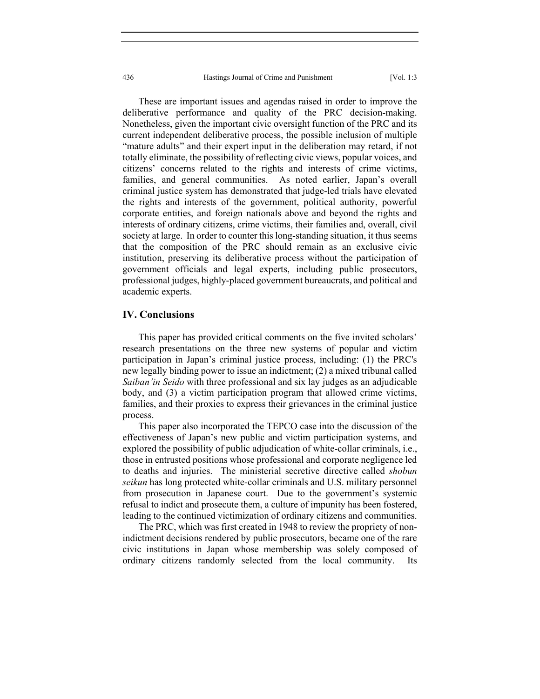436 Hastings Journal of Crime and Punishment [Vol. 1:3

These are important issues and agendas raised in order to improve the deliberative performance and quality of the PRC decision-making. Nonetheless, given the important civic oversight function of the PRC and its current independent deliberative process, the possible inclusion of multiple "mature adults" and their expert input in the deliberation may retard, if not totally eliminate, the possibility of reflecting civic views, popular voices, and citizens' concerns related to the rights and interests of crime victims, families, and general communities. As noted earlier, Japan's overall criminal justice system has demonstrated that judge-led trials have elevated the rights and interests of the government, political authority, powerful corporate entities, and foreign nationals above and beyond the rights and interests of ordinary citizens, crime victims, their families and, overall, civil society at large. In order to counter this long-standing situation, it thus seems that the composition of the PRC should remain as an exclusive civic institution, preserving its deliberative process without the participation of government officials and legal experts, including public prosecutors, professional judges, highly-placed government bureaucrats, and political and academic experts.

### **IV. Conclusions**

This paper has provided critical comments on the five invited scholars' research presentations on the three new systems of popular and victim participation in Japan's criminal justice process, including: (1) the PRC's new legally binding power to issue an indictment; (2) a mixed tribunal called *Saiban'in Seido* with three professional and six lay judges as an adjudicable body, and (3) a victim participation program that allowed crime victims, families, and their proxies to express their grievances in the criminal justice process.

This paper also incorporated the TEPCO case into the discussion of the effectiveness of Japan's new public and victim participation systems, and explored the possibility of public adjudication of white-collar criminals, i.e., those in entrusted positions whose professional and corporate negligence led to deaths and injuries. The ministerial secretive directive called *shobun seikun* has long protected white-collar criminals and U.S. military personnel from prosecution in Japanese court. Due to the government's systemic refusal to indict and prosecute them, a culture of impunity has been fostered, leading to the continued victimization of ordinary citizens and communities.

The PRC, which was first created in 1948 to review the propriety of nonindictment decisions rendered by public prosecutors, became one of the rare civic institutions in Japan whose membership was solely composed of ordinary citizens randomly selected from the local community. Its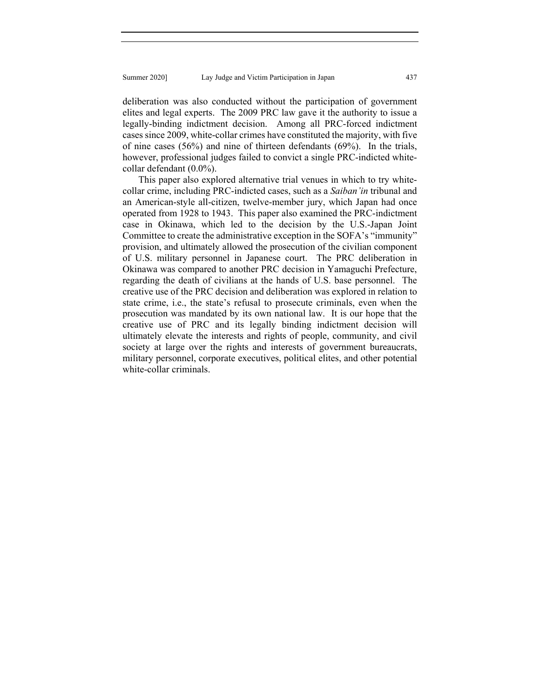deliberation was also conducted without the participation of government elites and legal experts. The 2009 PRC law gave it the authority to issue a legally-binding indictment decision. Among all PRC-forced indictment cases since 2009, white-collar crimes have constituted the majority, with five of nine cases (56%) and nine of thirteen defendants (69%). In the trials, however, professional judges failed to convict a single PRC-indicted whitecollar defendant (0.0%).

This paper also explored alternative trial venues in which to try whitecollar crime, including PRC-indicted cases, such as a *Saiban'in* tribunal and an American-style all-citizen, twelve-member jury, which Japan had once operated from 1928 to 1943. This paper also examined the PRC-indictment case in Okinawa, which led to the decision by the U.S.-Japan Joint Committee to create the administrative exception in the SOFA's "immunity" provision, and ultimately allowed the prosecution of the civilian component of U.S. military personnel in Japanese court. The PRC deliberation in Okinawa was compared to another PRC decision in Yamaguchi Prefecture, regarding the death of civilians at the hands of U.S. base personnel. The creative use of the PRC decision and deliberation was explored in relation to state crime, i.e., the state's refusal to prosecute criminals, even when the prosecution was mandated by its own national law. It is our hope that the creative use of PRC and its legally binding indictment decision will ultimately elevate the interests and rights of people, community, and civil society at large over the rights and interests of government bureaucrats, military personnel, corporate executives, political elites, and other potential white-collar criminals.